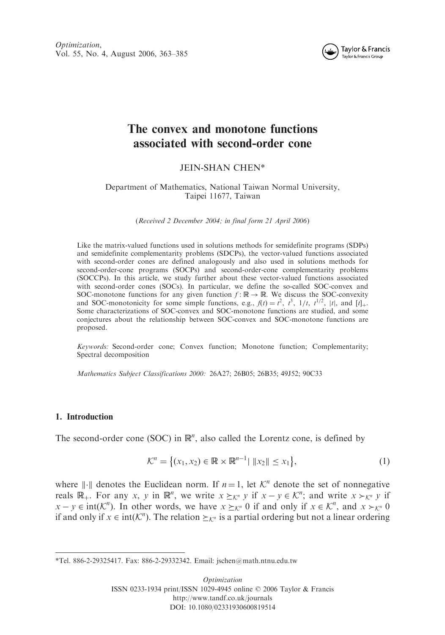Optimization, Vol. 55, No. 4, August 2006, 363–385



# The convex and monotone functions associated with second-order cone

## JEIN-SHAN CHEN\*

## Department of Mathematics, National Taiwan Normal University, Taipei 11677, Taiwan

(Received 2 December 2004; in final form 21 April 2006)

Like the matrix-valued functions used in solutions methods for semidefinite programs (SDPs) and semidefinite complementarity problems (SDCPs), the vector-valued functions associated with second-order cones are defined analogously and also used in solutions methods for second-order-cone programs (SOCPs) and second-order-cone complementarity problems (SOCCPs). In this article, we study further about these vector-valued functions associated with second-order cones (SOCs). In particular, we define the so-called SOC-convex and SOC-monotone functions for any given function  $f : \mathbb{R} \to \mathbb{R}$ . We discuss the SOC-convexity and SOC-monotonicity for some simple functions, e.g.,  $f(t) = t^2$ ,  $t^3$ ,  $1/t$ ,  $t^{1/2}$ ,  $|t|$ , and  $[t]_+$ . Some characterizations of SOC-convex and SOC-monotone functions are studied, and some conjectures about the relationship between SOC-convex and SOC-monotone functions are proposed.

Keywords: Second-order cone; Convex function; Monotone function; Complementarity; Spectral decomposition

Mathematics Subject Classifications 2000: 26A27; 26B05; 26B35; 49J52; 90C33

## 1. Introduction

The second-order cone (SOC) in  $\mathbb{R}^n$ , also called the Lorentz cone, is defined by

$$
\mathcal{K}^n = \{ (x_1, x_2) \in \mathbb{R} \times \mathbb{R}^{n-1} | \|x_2\| \le x_1 \},\tag{1}
$$

where  $\Vert \cdot \Vert$  denotes the Euclidean norm. If  $n = 1$ , let  $\mathcal{K}^n$  denote the set of nonnegative reals  $\mathbb{R}_+$ . For any x, y in  $\mathbb{R}^n$ , we write  $x \succeq_{\mathcal{K}^n} y$  if  $x - y \in \mathcal{K}^n$ ; and write  $x >_{\mathcal{K}^n} y$  if  $x - y \in \text{int}(\mathcal{K}^n)$ . In other words, we have  $x \succeq_{\mathcal{K}^n} 0$  if and only if  $x \in \mathcal{K}^n$ , and  $x >_{\mathcal{K}^n} 0$ if and only if  $x \in \text{int}(\mathcal{K}^n)$ . The relation  $\geq_{\mathcal{K}^n}$  is a partial ordering but not a linear ordering

<sup>\*</sup>Tel. 886-2-29325417. Fax: 886-2-29332342. Email: jschen@math.ntnu.edu.tw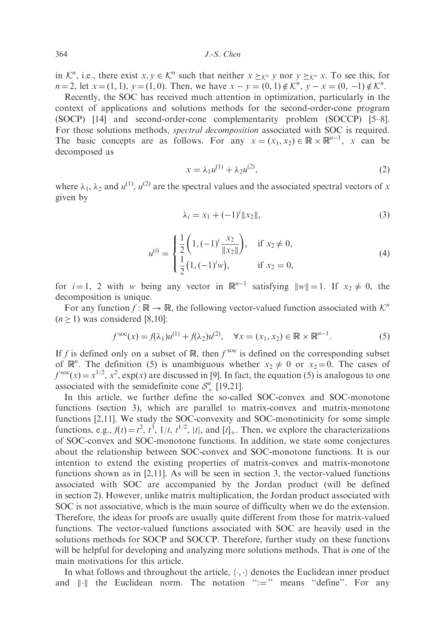in  $\mathcal{K}^n$ , i.e., there exist  $x, y \in \mathcal{K}^n$  such that neither  $x \succeq_{\mathcal{K}^n} y$  nor  $y \succeq_{\mathcal{K}^n} x$ . To see this, for  $n = 2$ , let  $x = (1, 1)$ ,  $y = (1, 0)$ . Then, we have  $x - y = (0, 1) \notin \mathcal{K}^n$ ,  $y - x = (0, -1) \notin \mathcal{K}^n$ .

Recently, the SOC has received much attention in optimization, particularly in the context of applications and solutions methods for the second-order-cone program (SOCP) [14] and second-order-cone complementarity problem (SOCCP) [5–8]. For those solutions methods, spectral decomposition associated with SOC is required. The basic concepts are as follows. For any  $x = (x_1, x_2) \in \mathbb{R} \times \mathbb{R}^{n-1}$ , x can be decomposed as

$$
x = \lambda_1 u^{(1)} + \lambda_2 u^{(2)},
$$
 (2)

where  $\lambda_1$ ,  $\lambda_2$  and  $u^{(1)}$ ,  $u^{(2)}$  are the spectral values and the associated spectral vectors of x given by

$$
\lambda_i = x_1 + (-1)^i \|x_2\|,\tag{3}
$$

$$
u^{(i)} = \begin{cases} \frac{1}{2} \left( 1, (-1)^i \frac{x_2}{\|x_2\|} \right), & \text{if } x_2 \neq 0, \\ \frac{1}{2} \left( 1, (-1)^i w \right), & \text{if } x_2 = 0, \end{cases}
$$
(4)

for  $i = 1$ , 2 with w being any vector in  $\mathbb{R}^{n-1}$  satisfying  $||w|| = 1$ . If  $x_2 \neq 0$ , the decomposition is unique.

For any function  $f : \mathbb{R} \to \mathbb{R}$ , the following vector-valued function associated with  $\mathcal{K}^n$  $(n > 1)$  was considered [8,10]:

$$
f^{\text{soc}}(x) = f(\lambda_1)u^{(1)} + f(\lambda_2)u^{(2)}, \quad \forall x = (x_1, x_2) \in \mathbb{R} \times \mathbb{R}^{n-1}.
$$
 (5)

If f is defined only on a subset of  $\mathbb R$ , then  $f^{\text{soc}}$  is defined on the corresponding subset of  $\mathbb{R}^n$ . The definition (5) is unambiguous whether  $x_2 \neq 0$  or  $x_2 = 0$ . The cases of  $f^{\text{soc}}(x) = x^{1/2}, x^2$ , exp(x) are discussed in [9]. In fact, the equation (5) is analogous to one associated with the semidefinite cone  $S^n_+$  [19,21].

In this article, we further define the so-called SOC-convex and SOC-monotone functions (section 3), which are parallel to matrix-convex and matrix-monotone functions [2,11]. We study the SOC-convexity and SOC-monotinicity for some simple functions, e.g.,  $f(t) = t^2$ ,  $t^3$ ,  $1/t$ ,  $t^{1/2}$ ,  $|t|$ , and  $[t]_+$ . Then, we explore the characterizations of SOC-convex and SOC-monotone functions. In addition, we state some conjectures about the relationship between SOC-convex and SOC-monotone functions. It is our intention to extend the existing properties of matrix-convex and matrix-monotone functions shown as in [2,11]. As will be seen in section 3, the vector-valued functions associated with SOC are accompanied by the Jordan product (will be defined in section 2). However, unlike matrix multiplication, the Jordan product associated with SOC is not associative, which is the main source of difficulty when we do the extension. Therefore, the ideas for proofs are usually quite different from those for matrix-valued functions. The vector-valued functions associated with SOC are heavily used in the solutions methods for SOCP and SOCCP. Therefore, further study on these functions will be helpful for developing and analyzing more solutions methods. That is one of the main motivations for this article.

In what follows and throughout the article,  $\langle \cdot, \cdot \rangle$  denotes the Euclidean inner product and  $\|\cdot\|$  the Euclidean norm. The notation ":=" means "define". For any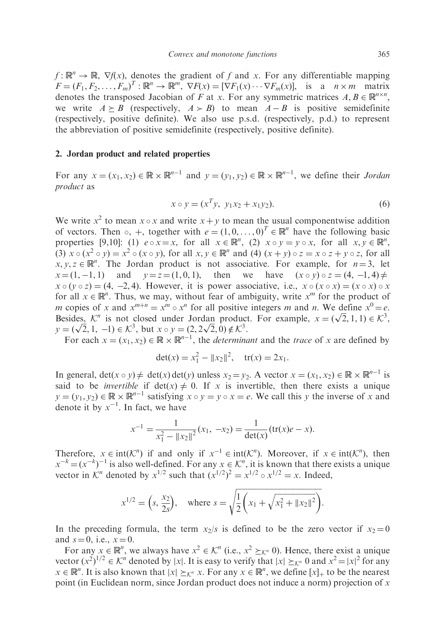$f: \mathbb{R}^n \to \mathbb{R}$ ,  $\nabla f(x)$ , denotes the gradient of f and x. For any differentiable mapping  $F = (F_1, F_2, \dots, F_m)^T : \mathbb{R}^n \to \mathbb{R}^m$ ,  $\nabla F(x) = [\nabla F_1(x) \cdots \nabla F_m(x)]$ , is a  $n \times m$  matrix denotes the transposed Jacobian of F at x. For any symmetric matrices  $A, B \in \mathbb{R}^{n \times n}$ , we write  $A \geq B$  (respectively,  $A > B$ ) to mean  $A - B$  is positive semidefinite (respectively, positive definite). We also use p.s.d. (respectively, p.d.) to represent the abbreviation of positive semidefinite (respectively, positive definite).

## 2. Jordan product and related properties

For any  $x = (x_1, x_2) \in \mathbb{R} \times \mathbb{R}^{n-1}$  and  $y = (y_1, y_2) \in \mathbb{R} \times \mathbb{R}^{n-1}$ , we define their *Jordan* product as

$$
x \circ y = (x^T y, y_1 x_2 + x_1 y_2). \tag{6}
$$

We write  $x^2$  to mean  $x \circ x$  and write  $x + y$  to mean the usual componentwise addition of vectors. Then  $\circ$ , +, together with  $e = (1, 0, \ldots, 0)^T \in \mathbb{R}^n$  have the following basic properties [9,10]: (1)  $e \circ x = x$ , for all  $x \in \mathbb{R}^n$ , (2)  $x \circ y = y \circ x$ , for all  $x, y \in \mathbb{R}^n$ , (3)  $x \circ (x^2 \circ y) = x^2 \circ (x \circ y)$ , for all  $x, y \in \mathbb{R}^n$  and (4)  $(x + y) \circ z = x \circ z + y \circ z$ , for all  $x, y, z \in \mathbb{R}^n$ . The Jordan product is not associative. For example, for  $n = 3$ , let  $x = (1, -1, 1)$  and  $y = z = (1, 0, 1)$ , then we have  $(x \circ y) \circ z = (4, -1, 1)$ have  $(x \circ y) \circ z = (4, -1, 4) \neq 0$  $x \circ (y \circ z) = (4, -2, 4)$ . However, it is power associative, i.e.,  $x \circ (x \circ x) = (x \circ x) \circ x$ for all  $x \in \mathbb{R}^n$ . Thus, we may, without fear of ambiguity, write  $x^m$  for the product of m copies of x and  $x^{m+n} = x^m \circ x^n$  for all positive integers m and n. We define  $x^0 = e$ . m copies of x and  $x^{n+1} = x^n \circ x^n$  for all positive integers m and n. We define  $x = e$ .<br>Besides,  $\mathcal{K}^n$  is not closed under Jordan product. For example,  $x = (\sqrt{2}, 1, 1) \in \mathcal{K}^3$ , Besides,  $\wedge$  is not closed under Jordan product<br>  $y = (\sqrt{2}, 1, -1) \in \mathcal{K}^3$ , but  $x \circ y = (2, 2\sqrt{2}, 0) \notin \mathcal{K}^3$ .

For each  $x = (x_1, x_2) \in \mathbb{R} \times \mathbb{R}^{n-1}$ , the *determinant* and the *trace* of x are defined by

$$
\det(x) = x_1^2 - ||x_2||^2, \quad \text{tr}(x) = 2x_1.
$$

In general,  $\det(x \circ y) \neq \det(x) \det(y)$  unless  $x_2 = y_2$ . A vector  $x = (x_1, x_2) \in \mathbb{R} \times \mathbb{R}^{n-1}$  is said to be *invertible* if  $det(x) \neq 0$ . If x is invertible, then there exists a unique  $y = (y_1, y_2) \in \mathbb{R} \times \mathbb{R}^{n-1}$  satisfying  $x \circ y = y \circ x = e$ . We call this y the inverse of x and denote it by  $x^{-1}$ . In fact, we have

$$
x^{-1} = \frac{1}{x_1^2 - \|x_2\|^2} (x_1, -x_2) = \frac{1}{\det(x)} (\operatorname{tr}(x)e - x).
$$

Therefore,  $x \in \text{int}(\mathcal{K}^n)$  if and only if  $x^{-1} \in \text{int}(\mathcal{K}^n)$ . Moreover, if  $x \in \text{int}(\mathcal{K}^n)$ , then  $x^{-k} = (x^{-k})^{-1}$  is also well-defined. For any  $x \in \mathcal{K}^n$ , it is known that there exists a unique vector in  $K^n$  denoted by  $x^{1/2}$  such that  $(x^{1/2})^2 = x^{1/2} \circ x^{1/2} = x$ . Indeed,

$$
x^{1/2} = (s, \frac{x_2}{2s}),
$$
 where  $s = \sqrt{\frac{1}{2}(x_1 + \sqrt{x_1^2 + ||x_2||^2})}.$ 

In the preceding formula, the term  $x_2/s$  is defined to be the zero vector if  $x_2 = 0$ and  $s = 0$ , i.e.,  $x = 0$ .

For any  $x \in \mathbb{R}^n$ , we always have  $x^2 \in \mathcal{K}^n$  (i.e.,  $x^2 \geq_{\mathcal{K}^n} 0$ ). Hence, there exist a unique vector  $(x^2)^{1/2} \in \mathcal{K}^n$  denoted by |x|. It is easy to verify that  $|x| \geq_{\mathcal{K}^n} 0$  and  $x^2 = |x|^2$  for any  $x \in \mathbb{R}^n$ . It is also known that  $|x| \geq_{\mathcal{K}^n} x$ . For any  $x \in \mathbb{R}^n$ , we define  $[x]_+$  to be the nearest point (in Euclidean norm, since Jordan product does not induce a norm) projection of  $x$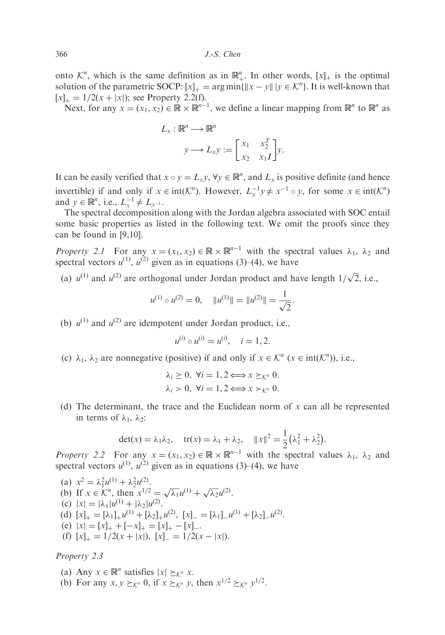onto  $\mathcal{K}^n$ , which is the same definition as in  $\mathbb{R}^n_+$ . In other words,  $[x]_+$  is the optimal solution of the parametric SOCP:  $[x]_+ = \arg \min \{ ||x - y|| \mid y \in \mathcal{K}^n \}$ . It is well-known that  $[x]_{+} = 1/2(x + |x|);$  see Property 2.2(f).

Next, for any  $x = (x_1, x_2) \in \mathbb{R} \times \mathbb{R}^{n-1}$ , we define a linear mapping from  $\mathbb{R}^n$  to  $\mathbb{R}^n$  as

$$
L_x : \mathbb{R}^n \longrightarrow \mathbb{R}^n
$$

$$
y \longrightarrow L_x y := \begin{bmatrix} x_1 & x_2^T \\ x_2 & x_1 I \end{bmatrix} y.
$$

It can be easily verified that  $x \circ y = L_x y$ ,  $\forall y \in \mathbb{R}^n$ , and  $L_x$  is positive definite (and hence invertible) if and only if  $x \in \text{int}(\mathcal{K}^n)$ . However,  $L_x^{-1}y \neq x^{-1} \circ y$ , for some  $x \in \text{int}(\mathcal{K}^n)$ and  $y \in \mathbb{R}^n$ , i.e.,  $L_x^{-1} \neq L_{x^{-1}}$ .

The spectral decomposition along with the Jordan algebra associated with SOC entail some basic properties as listed in the following text. We omit the proofs since they can be found in [9,10].

Property 2.1 For any  $x = (x_1, x_2) \in \mathbb{R} \times \mathbb{R}^{n-1}$  with the spectral values  $\lambda_1$ ,  $\lambda_2$  and spectral vectors  $u^{(1)}$ ,  $u^{(2)}$  given as in equations (3)–(4), we have

(a)  $u^{(1)}$  and  $u^{(2)}$  are orthogonal under Jordan product and have length  $1/\sqrt{2}$ , i.e.,

$$
u^{(1)} \circ u^{(2)} = 0
$$
,  $||u^{(1)}|| = ||u^{(2)}|| = \frac{1}{\sqrt{2}}$ .

(b)  $u^{(1)}$  and  $u^{(2)}$  are idempotent under Jordan product, i.e.,

$$
u^{(i)} \circ u^{(i)} = u^{(i)}, \quad i = 1, 2.
$$

(c)  $\lambda_1$ ,  $\lambda_2$  are nonnegative (positive) if and only if  $x \in \mathcal{K}^n$  ( $x \in \text{int}(\mathcal{K}^n)$ ), i.e.,

$$
\lambda_i \ge 0, \ \forall i = 1, 2 \Longleftrightarrow x \succeq_{\mathcal{K}^n} 0.
$$

$$
\lambda_i > 0, \ \forall i = 1, 2 \Longleftrightarrow x \succ_{\mathcal{K}^n} 0.
$$

(d) The determinant, the trace and the Euclidean norm of  $x$  can all be represented in terms of  $\lambda_1$ ,  $\lambda_2$ :

$$
\det(x) = \lambda_1 \lambda_2, \quad \text{tr}(x) = \lambda_1 + \lambda_2, \quad \|x\|^2 = \frac{1}{2} \left(\lambda_1^2 + \lambda_2^2\right).
$$

Property 2.2 For any  $x = (x_1, x_2) \in \mathbb{R} \times \mathbb{R}^{n-1}$  with the spectral values  $\lambda_1$ ,  $\lambda_2$  and spectral vectors  $u^{(1)}$ ,  $u^{(2)}$  given as in equations (3)–(4), we have

(a) 
$$
x^2 = \lambda_1^2 u^{(1)} + \lambda_2^2 u^{(2)}
$$
.  
\n(b) If  $x \in \mathcal{K}^n$ , then  $x^{1/2} = \sqrt{\lambda_1} u^{(1)} + \sqrt{\lambda_2} u^{(2)}$ .  
\n(c)  $|x| = |\lambda_1| u^{(1)} + |\lambda_2| u^{(2)}$ .  
\n(d)  $[x]_+ = [\lambda_1]_+ u^{(1)} + [\lambda_2]_+ u^{(2)}$ ,  $[x]_- = [\lambda_1]_- u^{(1)} + [\lambda_2]_- u^{(2)}$ .  
\n(e)  $|x| = [x]_+ + [-x]_+ = [x]_+ - [x]_-$ .  
\n(f)  $[x]_+ = 1/2(x + |x|)$ ,  $[x]_- = 1/2(x - |x|)$ .

## Property 2.3

(a) Any  $x \in \mathbb{R}^n$  satisfies  $|x| \geq_{\mathcal{K}^n} x$ .

(b) For any  $x, y \geq_{\mathcal{K}^n} 0$ , if  $x \geq_{\mathcal{K}^n} y$ , then  $x^{1/2} \geq_{\mathcal{K}^n} y^{1/2}$ .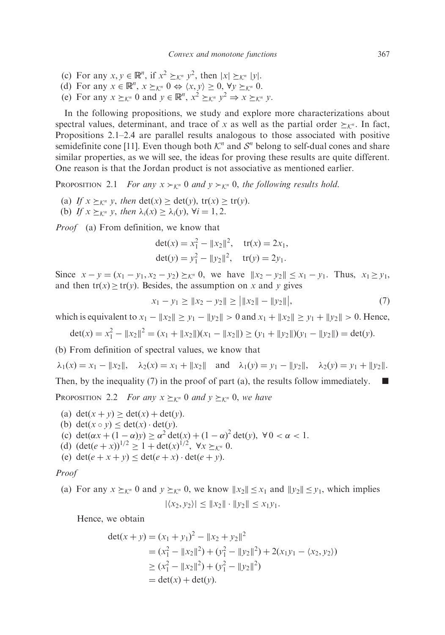- (c) For any  $x, y \in \mathbb{R}^n$ , if  $x^2 \succeq_{\mathcal{K}^n} y^2$ , then  $|x| \succeq_{\mathcal{K}^n} |y|$ .
- (d) For any  $x \in \mathbb{R}^n$ ,  $x \succeq_{\mathcal{K}^n} 0 \Leftrightarrow \langle x, y \rangle \ge 0$ ,  $\forall y \succeq_{\mathcal{K}^n} 0$ .
- (e) For any  $x \succeq_{\mathcal{K}^n} 0$  and  $y \in \mathbb{R}^n$ ,  $x^2 \succeq_{\mathcal{K}^n} y^2 \Rightarrow x \succeq_{\mathcal{K}^n} y$ .

In the following propositions, we study and explore more characterizations about spectral values, determinant, and trace of x as well as the partial order  $\succ_{k^n}$ . In fact, Propositions 2.1–2.4 are parallel results analogous to those associated with positive semidefinite cone [11]. Even though both  $K<sup>n</sup>$  and  $S<sup>n</sup>$  belong to self-dual cones and share similar properties, as we will see, the ideas for proving these results are quite different. One reason is that the Jordan product is not associative as mentioned earlier.

PROPOSITION 2.1 For any  $x \succ_{K^n} 0$  and  $y \succ_{K^n} 0$ , the following results hold.

- (a) If  $x \succ_{K^n} y$ , then  $\det(x) > \det(y)$ ,  $tr(x) > tr(y)$ .
- (b) If  $x \succeq_{\mathcal{K}^n} y$ , then  $\lambda_i(x) \geq \lambda_i(y)$ ,  $\forall i = 1, 2$ .

Proof (a) From definition, we know that

$$
det(x) = x_1^2 - ||x_2||^2, \quad tr(x) = 2x_1,
$$
  

$$
det(y) = y_1^2 - ||y_2||^2, \quad tr(y) = 2y_1.
$$

Since  $x - y = (x_1 - y_1, x_2 - y_2) \geq_{\mathcal{K}^n} 0$ , we have  $||x_2 - y_2|| \leq x_1 - y_1$ . Thus,  $x_1 \geq y_1$ , and then  $tr(x) \geq tr(y)$ . Besides, the assumption on x and y gives

$$
x_1 - y_1 \ge ||x_2 - y_2|| \ge ||x_2|| - ||y_2||,
$$
\n(7)

which is equivalent to  $x_1 - ||x_2|| \ge y_1 - ||y_2|| > 0$  and  $x_1 + ||x_2|| \ge y_1 + ||y_2|| > 0$ . Hence,

$$
\det(x) = x_1^2 - ||x_2||^2 = (x_1 + ||x_2||)(x_1 - ||x_2||) \ge (y_1 + ||y_2||)(y_1 - ||y_2||) = \det(y).
$$

(b) From definition of spectral values, we know that

$$
\lambda_1(x) = x_1 - ||x_2||
$$
,  $\lambda_2(x) = x_1 + ||x_2||$  and  $\lambda_1(y) = y_1 - ||y_2||$ ,  $\lambda_2(y) = y_1 + ||y_2||$ .

Then, by the inequality (7) in the proof of part (a), the results follow immediately.  $\blacksquare$ 

**PROPOSITION** 2.2 For any  $x \succeq_{\mathcal{K}^n} 0$  and  $y \succeq_{\mathcal{K}^n} 0$ , we have

- (a)  $\det(x + y) \ge \det(x) + \det(y)$ .
- (b) det $(x \circ y) \leq det(x) \cdot det(y)$ .
- (c)  $\det(\alpha x + (1 \alpha)y) \ge \alpha^2 \det(x) + (1 \alpha)^2 \det(y), \forall 0 < \alpha < 1.$
- (d)  $(\det(e+x))^{1/2} \ge 1 + \det(x)^{1/2}, \forall x \geq_{\mathcal{K}^n} 0.$
- (e)  $\det(e + x + v) < \det(e + x) \cdot \det(e + v)$ .

### Proof

(a) For any  $x \succeq_{\mathcal{K}^n} 0$  and  $y \succeq_{\mathcal{K}^n} 0$ , we know  $||x_2|| \le x_1$  and  $||y_2|| \le y_1$ , which implies  $|\langle x_2, y_2 \rangle| \leq ||x_2|| \cdot ||y_2|| \leq x_1y_1.$ 

Hence, we obtain

$$
\begin{aligned} \det(x+y) &= (x_1 + y_1)^2 - \|x_2 + y_2\|^2 \\ &= (x_1^2 - \|x_2\|^2) + (y_1^2 - \|y_2\|^2) + 2(x_1y_1 - \langle x_2, y_2 \rangle) \\ &\ge (x_1^2 - \|x_2\|^2) + (y_1^2 - \|y_2\|^2) \\ &= \det(x) + \det(y). \end{aligned}
$$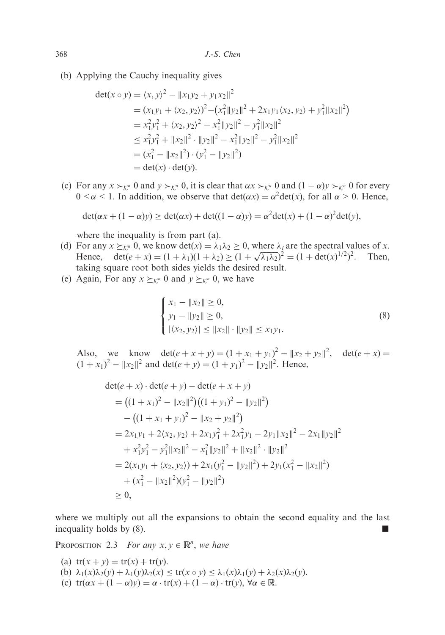(b) Applying the Cauchy inequality gives

$$
\begin{aligned}\n\det(x \circ y) &= \langle x, y \rangle^2 - \|x_1 y_2 + y_1 x_2\|^2 \\
&= (x_1 y_1 + \langle x_2, y_2 \rangle)^2 - (x_1^2 \|y_2\|^2 + 2x_1 y_1 \langle x_2, y_2 \rangle + y_1^2 \|x_2\|^2) \\
&= x_1^2 y_1^2 + \langle x_2, y_2 \rangle^2 - x_1^2 \|y_2\|^2 - y_1^2 \|x_2\|^2 \\
&\le x_1^2 y_1^2 + \|x_2\|^2 \cdot \|y_2\|^2 - x_1^2 \|y_2\|^2 - y_1^2 \|x_2\|^2 \\
&= (x_1^2 - \|x_2\|^2) \cdot (y_1^2 - \|y_2\|^2) \\
&= \det(x) \cdot \det(y).\n\end{aligned}
$$

(c) For any  $x \succ_{\mathcal{K}^n} 0$  and  $y \succ_{\mathcal{K}^n} 0$ , it is clear that  $\alpha x \succ_{\mathcal{K}^n} 0$  and  $(1 - \alpha)y \succ_{\mathcal{K}^n} 0$  for every  $0 \leq \alpha \leq 1$ . In addition, we observe that  $\det(\alpha x) = \alpha^2 \det(x)$ , for all  $\alpha > 0$ . Hence,

$$
\det(\alpha x + (1 - \alpha)y) \ge \det(\alpha x) + \det((1 - \alpha)y) = \alpha^2 \det(x) + (1 - \alpha)^2 \det(y),
$$

where the inequality is from part (a).

- (d) For any  $x \succeq_{\mathcal{K}^n} 0$ , we know  $\det(x) = \lambda_1 \lambda_2 \geq 0$ , where  $\lambda_i$  are the spectral values of x. Hence,  $\det(e + x) = (1 + \lambda_1)(1 + \lambda_2) \ge (1 + \sqrt{\lambda_1 \lambda_2})^2 = (1 + \det(x)^{1/2})^2$ . Then, taking square root both sides yields the desired result.
- (e) Again, For any  $x \succeq_{\mathcal{K}^n} 0$  and  $y \succeq_{\mathcal{K}^n} 0$ , we have

$$
\begin{cases} x_1 - ||x_2|| \ge 0, \\ y_1 - ||y_2|| \ge 0, \\ |\langle x_2, y_2 \rangle| \le ||x_2|| \cdot ||y_2|| \le x_1 y_1. \end{cases}
$$
 (8)

Also, we know  $\det(e + x + y) = (1 + x_1 + y_1)^2 - ||x_2 + y_2||^2$ ,  $\det(e + x) =$  $(1 + x_1)^2 - ||x_2||^2$  and det $(e + y) = (1 + y_1)^2 - ||y_2||^2$ . Hence,

$$
\begin{aligned}\n\text{det}(e+x) \cdot \text{det}(e+y) - \text{det}(e+x+y) \\
&= \left( (1+x_1)^2 - \|x_2\|^2 \right) \left( (1+y_1)^2 - \|y_2\|^2 \right) \\
&\quad - \left( (1+x_1+y_1)^2 - \|x_2+y_2\|^2 \right) \\
&= 2x_1y_1 + 2\langle x_2, y_2 \rangle + 2x_1y_1^2 + 2x_1^2y_1 - 2y_1 \|x_2\|^2 - 2x_1 \|y_2\|^2 \\
&\quad + x_1^2y_1^2 - y_1^2 \|x_2\|^2 - x_1^2 \|y_2\|^2 + \|x_2\|^2 \cdot \|y_2\|^2 \\
&= 2(x_1y_1 + \langle x_2, y_2 \rangle) + 2x_1(y_1^2 - \|y_2\|^2) + 2y_1(x_1^2 - \|x_2\|^2) \\
&\quad + (x_1^2 - \|x_2\|^2)(y_1^2 - \|y_2\|^2) \\
&\ge 0,\n\end{aligned}
$$

where we multiply out all the expansions to obtain the second equality and the last inequality holds by  $(8)$ .

PROPOSITION 2.3 For any  $x, y \in \mathbb{R}^n$ , we have

- (a)  $tr(x + y) = tr(x) + tr(y)$ .
- (b)  $\lambda_1(x)\lambda_2(y) + \lambda_1(y)\lambda_2(x) \le \text{tr}(x \circ y) \le \lambda_1(x)\lambda_1(y) + \lambda_2(x)\lambda_2(y).$
- (c)  $tr(\alpha x + (1 \alpha)y) = \alpha \cdot tr(x) + (1 \alpha) \cdot tr(y), \forall \alpha \in \mathbb{R}$ .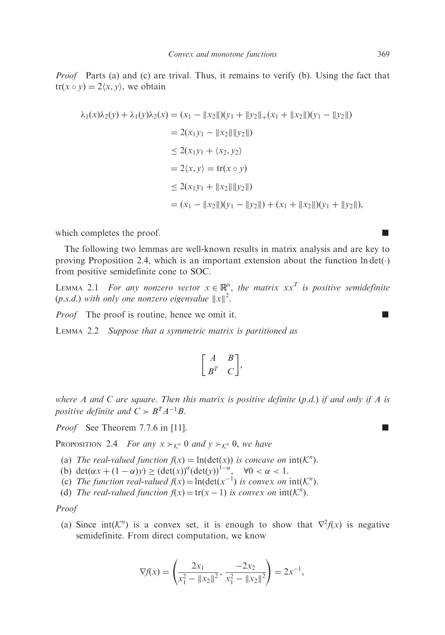*Proof* Parts (a) and (c) are trival. Thus, it remains to verify (b). Using the fact that  $tr(x \circ y) = 2\langle x, y \rangle$ , we obtain

$$
\lambda_1(x)\lambda_2(y) + \lambda_1(y)\lambda_2(x) = (x_1 - ||x_2||)(y_1 + ||y_2||_+(x_1 + ||x_2||)(y_1 - ||y_2||)
$$
  
\n
$$
= 2(x_1y_1 - ||x_2|| ||y_2||)
$$
  
\n
$$
\leq 2(x_1y_1 + \langle x_2, y_2 \rangle)
$$
  
\n
$$
= 2\langle x, y \rangle = \text{tr}(x \circ y)
$$
  
\n
$$
\leq 2(x_1y_1 + ||x_2|| ||y_2||)
$$
  
\n
$$
= (x_1 - ||x_2||)(y_1 - ||y_2||) + (x_1 + ||x_2||)(y_1 + ||y_2||),
$$

which completes the proof.  $\Box$ 

The following two lemmas are well-known results in matrix analysis and are key to proving Proposition 2.4, which is an important extension about the function  $\text{ln det}(\cdot)$ from positive semidefinite cone to SOC.

LEMMA 2.1 For any nonzero vector  $x \in \mathbb{R}^n$ , the matrix  $xx^T$  is positive semidefinite (p.s.d.) with only one nonzero eigenvalue  $||x||^2$ .

*Proof* The proof is routine, hence we omit it.

LEMMA 2.2 Suppose that a symmetric matrix is partitioned as

$$
\begin{bmatrix} A & B \\ B^T & C \end{bmatrix},
$$

where A and C are square. Then this matrix is positive definite  $(p.d.)$  if and only if A is positive definite and  $C \succ B^{T} A^{-1} B$ .

*Proof* See Theorem 7.7.6 in [11].

PROPOSITION 2.4 For any  $x \succ_{\mathcal{K}^n} 0$  and  $y \succ_{\mathcal{K}^n} 0$ , we have

- (a) The real-valued function  $f(x) = \ln(\det(x))$  is concave on  $int(K^n)$ .
- (b)  $\det(\alpha x + (1 \alpha)y) \geq (\det(x))^{\alpha} (\det(y))^{1 \alpha}, \quad \forall 0 < \alpha < 1.$
- (c) The function real-valued  $f(x) = \ln(\det(x^{-1}))$  is convex on  $\text{int}(\mathcal{K}^n)$ .
- (d) The real-valued function  $f(x) = \text{tr}(x 1)$  is convex on  $\text{int}(\mathcal{K}^n)$ .

### Proof

(a) Since int $(K^n)$  is a convex set, it is enough to show that  $\nabla^2 f(x)$  is negative semidefinite. From direct computation, we know

$$
\nabla f(x) = \left(\frac{2x_1}{x_1^2 - \|x_2\|^2}, \frac{-2x_2}{x_1^2 - \|x_2\|^2}\right) = 2x^{-1},
$$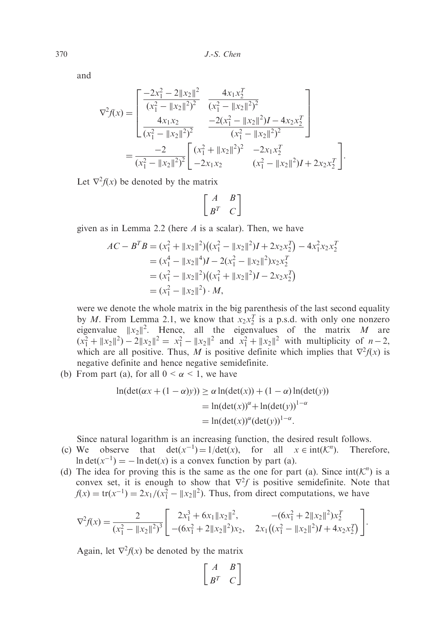and

$$
\nabla^2 f(x) = \begin{bmatrix} \frac{-2x_1^2 - 2||x_2||^2}{(x_1^2 - ||x_2||^2)^2} & \frac{4x_1x_2^T}{(x_1^2 - ||x_2||^2)^2} \\ \frac{4x_1x_2}{(x_1^2 - ||x_2||^2)^2} & \frac{-2(x_1^2 - ||x_2||^2)I - 4x_2x_2^T}{(x_1^2 - ||x_2||^2)^2} \end{bmatrix}
$$
  
= 
$$
\frac{-2}{(x_1^2 - ||x_2||^2)^2} \begin{bmatrix} (x_1^2 + ||x_2||^2)^2 & -2x_1x_2^T \\ -2x_1x_2 & (x_1^2 - ||x_2||^2)I + 2x_2x_2^T \end{bmatrix}.
$$

Let  $\nabla^2 f(x)$  be denoted by the matrix

$$
\left[\begin{array}{cc}A&B\\B^T&C\end{array}\right]
$$

given as in Lemma 2.2 (here  $A$  is a scalar). Then, we have

$$
AC - BTB = (x12 + ||x2||2)( (x12 - ||x2||2)I + 2x2x2T) - 4x12x2x2T= (x14 - ||x2||4)I - 2(x12 - ||x2||2)x2x2T= (x12 - ||x2||2)( (x12 + ||x2||2)I - 2x2x2T)= (x12 - ||x2||2) \cdot M,
$$

were we denote the whole matrix in the big parenthesis of the last second equality by M. From Lemma 2.1, we know that  $x_2x_2^T$  is a p.s.d. with only one nonzero eigenvalue  $||x_2||^2$ . Hence, all the eigenvalues of the matrix M are  $(x_1^2 + ||x_2||^2) - 2||x_2||^2 = x_1^2 - ||x_2||^2$  and  $x_1^2 + ||x_2||^2$  with multiplicity of  $n-2$ , which are all positive. Thus, M is positive definite which implies that  $\nabla^2 f(x)$  is negative definite and hence negative semidefinite.

(b) From part (a), for all  $0 < \alpha < 1$ , we have

$$
\ln(\det(\alpha x + (1 - \alpha)y)) \ge \alpha \ln(\det(x)) + (1 - \alpha) \ln(\det(y))
$$
  
= 
$$
\ln(\det(x))^{\alpha} + \ln(\det(y))^{1-\alpha}
$$
  
= 
$$
\ln(\det(x))^{\alpha}(\det(y))^{1-\alpha}.
$$

Since natural logarithm is an increasing function, the desired result follows.

- (c) We observe that  $det(x^{-1}) = 1/det(x)$ , for all  $x \in int(\mathcal{K}^n)$ . Therefore,  $\ln \det(x^{-1}) = -\ln \det(x)$  is a convex function by part (a).
- (d) The idea for proving this is the same as the one for part (a). Since  $int(\mathcal{K}^n)$  is a convex set, it is enough to show that  $\nabla^2 f$  is positive semidefinite. Note that  $f(x) = \text{tr}(x^{-1}) = \frac{2x_1}{x_1^2 - ||x_2||^2}$ . Thus, from direct computations, we have

$$
\nabla^2 f(x) = \frac{2}{(x_1^2 - ||x_2||^2)^3} \left[ \begin{array}{cc} 2x_1^3 + 6x_1 ||x_2||^2, & -(6x_1^2 + 2 ||x_2||^2)x_2^T \\ -(6x_1^2 + 2 ||x_2||^2)x_2, & 2x_1((x_1^2 - ||x_2||^2)I + 4x_2x_2^T) \end{array} \right].
$$

Again, let  $\nabla^2 f(x)$  be denoted by the matrix

$$
\left[ \begin{array}{cc} A & B \\ B^T & C \end{array} \right]
$$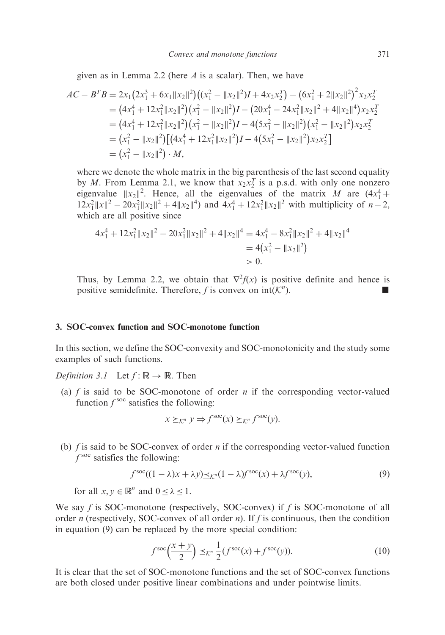given as in Lemma 2.2 (here  $A$  is a scalar). Then, we have

$$
AC - BTB = 2x1(2x13 + 6x1 ||x2 ||2)( (x12 - ||x2 ||2)I + 4x2x2T) – (6x12 + 2||x2 ||2)2x2x2T= (4x14 + 12x12 ||x2 ||2)(x12 - ||x2 ||2)I – (20x14 - 24x12 ||x2 ||2 + 4||x2 ||4)x2x2T= (4x14 + 12x12 ||x2 ||2)(x12 - ||x2 ||2)I – 4(5x12 - ||x2 ||2)(x12 - ||x2 ||2)x2x2T= (x12 - ||x2 ||2)[(4x14 + 12x12 ||x2 ||2)I – 4(5x12 - ||x2 ||2)x2x2T]= (x12 - ||x2 ||2) · M,
$$

where we denote the whole matrix in the big parenthesis of the last second equality by *M*. From Lemma 2.1, we know that  $x_2x_2^T$  is a p.s.d. with only one nonzero eigenvalue  $||x_2||^2$ . Hence, all the eigenvalues of the matrix M are  $(4x_1^4 +$  $12x_1^2 ||x||^2 - 20x_1^2 ||x_2||^2 + 4||x_2||^4$  and  $4x_1^4 + 12x_1^2 ||x_2||^2$  with multiplicity of  $n-2$ , which are all positive since

$$
4x_1^4 + 12x_1^2 \|x_2\|^2 - 20x_1^2 \|x_2\|^2 + 4\|x_2\|^4 = 4x_1^4 - 8x_1^2 \|x_2\|^2 + 4\|x_2\|^4
$$
  
= 4(x\_1^2 - \|x\_2\|^2)  
> 0.

Thus, by Lemma 2.2, we obtain that  $\nabla^2 f(x)$  is positive definite and hence is positive semidefinite. Therefore, f is convex on  $int(\mathcal{K}^n)$ . ).  $\qquad \qquad \blacksquare$ 

## 3. SOC-convex function and SOC-monotone function

In this section, we define the SOC-convexity and SOC-monotonicity and the study some examples of such functions.

*Definition 3.1* Let  $f : \mathbb{R} \to \mathbb{R}$ . Then

(a) f is said to be SOC-monotone of order n if the corresponding vector-valued function  $f^{\text{soc}}$  satisfies the following:

$$
x \succeq_{\mathcal{K}^n} y \Rightarrow f^{\text{soc}}(x) \succeq_{\mathcal{K}^n} f^{\text{soc}}(y).
$$

(b)  $f$  is said to be SOC-convex of order  $n$  if the corresponding vector-valued function  $f^{\text{soc}}$  satisfies the following:

$$
f^{\text{soc}}((1 - \lambda)x + \lambda y) \leq_{\mathcal{K}''}(1 - \lambda)f^{\text{soc}}(x) + \lambda f^{\text{soc}}(y),
$$
\n(9)

for all  $x, y \in \mathbb{R}^n$  and  $0 \le \lambda \le 1$ .

We say f is SOC-monotone (respectively, SOC-convex) if f is SOC-monotone of all order n (respectively, SOC-convex of all order n). If f is continuous, then the condition in equation (9) can be replaced by the more special condition:

$$
f^{\text{soc}}\left(\frac{x+y}{2}\right) \preceq_{\mathcal{K}^n} \frac{1}{2} (f^{\text{soc}}(x) + f^{\text{soc}}(y)).\tag{10}
$$

It is clear that the set of SOC-monotone functions and the set of SOC-convex functions are both closed under positive linear combinations and under pointwise limits.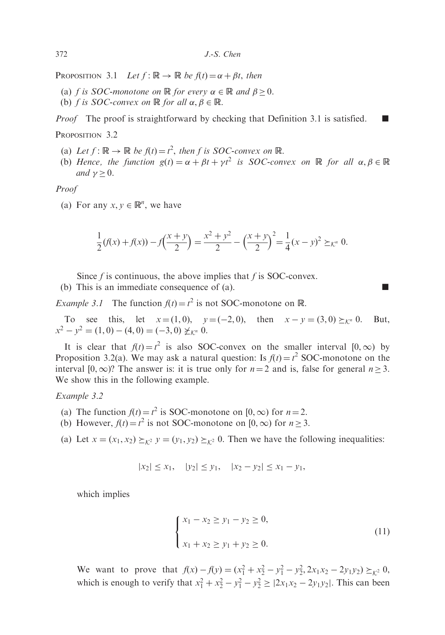PROPOSITION 3.1 Let  $f: \mathbb{R} \to \mathbb{R}$  be  $f(t) = \alpha + \beta t$ , then

- (a) f is SOC-monotone on  $\mathbb R$  for every  $\alpha \in \mathbb R$  and  $\beta \geq 0$ .
- (b) *f* is *SOC*-convex on  $\mathbb R$  for all  $\alpha, \beta \in \mathbb R$ .

*Proof* The proof is straightforward by checking that Definition 3.1 is satisfied.  $\blacksquare$ 

#### PROPOSITION 3.2

- (a) Let  $f: \mathbb{R} \to \mathbb{R}$  be  $f(t) = t^2$ , then f is SOC-convex on  $\mathbb{R}$ .
- (b) Hence, the function  $g(t) = \alpha + \beta t + \gamma t^2$  is SOC-convex on  $\mathbb R$  for all  $\alpha, \beta \in \mathbb R$ and  $\nu > 0$ .

Proof

(a) For any  $x, y \in \mathbb{R}^n$ , we have

$$
\frac{1}{2}(f(x) + f(x)) - f\left(\frac{x+y}{2}\right) = \frac{x^2 + y^2}{2} - \left(\frac{x+y}{2}\right)^2 = \frac{1}{4}(x-y)^2 \geq_{\mathcal{K}^n} 0.
$$

Since  $f$  is continuous, the above implies that  $f$  is SOC-convex.

(b) This is an immediate consequence of (a).

*Example 3.1* The function  $f(t) = t^2$  is not SOC-monotone on R.

To see this, let  $x = (1, 0)$ ,  $y = (-2, 0)$ , then  $x - y = (3, 0) \ge_{K^n} 0$ . But,  $x^2 - y^2 = (1, 0) - (4, 0) = (-3, 0) \not\geq_{\mathcal{K}^n} 0.$ 

It is clear that  $f(t) = t^2$  is also SOC-convex on the smaller interval  $[0, \infty)$  by Proposition 3.2(a). We may ask a natural question: Is  $f(t) = t^2$  SOC-monotone on the interval  $[0,\infty)$ ? The answer is: it is true only for  $n = 2$  and is, false for general  $n \ge 3$ . We show this in the following example.

Example 3.2

- (a) The function  $f(t) = t^2$  is SOC-monotone on [0,  $\infty$ ) for  $n = 2$ .
- (b) However,  $f(t) = t^2$  is not SOC-monotone on  $[0, \infty)$  for  $n \ge 3$ .

(a) Let  $x = (x_1, x_2) \succeq_{k^2} y = (y_1, y_2) \succeq_{k^2} 0$ . Then we have the following inequalities:

$$
|x_2| \le x_1
$$
,  $|y_2| \le y_1$ ,  $|x_2 - y_2| \le x_1 - y_1$ ,

which implies

$$
\begin{cases}\nx_1 - x_2 \ge y_1 - y_2 \ge 0, \\
x_1 + x_2 \ge y_1 + y_2 \ge 0.\n\end{cases}
$$
\n(11)

We want to prove that  $f(x) - f(y) = (x_1^2 + x_2^2 - y_1^2 - y_2^2, 2x_1x_2 - 2y_1y_2) \geq_{K^2} 0$ , which is enough to verify that  $x_1^2 + x_2^2 - y_1^2 - y_2^2 \ge |2x_1x_2 - 2y_1y_2|$ . This can been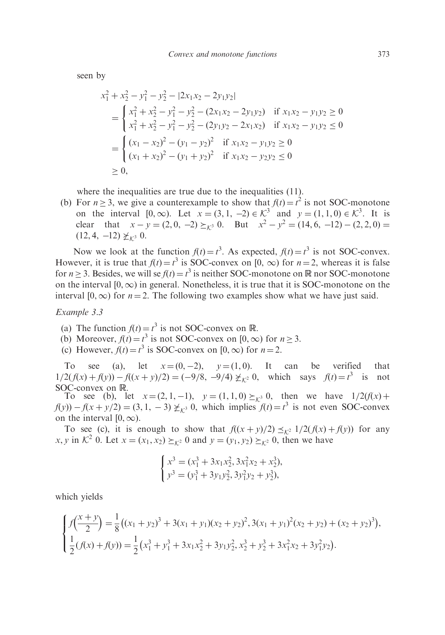seen by

$$
x_1^2 + x_2^2 - y_1^2 - y_2^2 - |2x_1x_2 - 2y_1y_2|
$$
  
= 
$$
\begin{cases} x_1^2 + x_2^2 - y_1^2 - y_2^2 - (2x_1x_2 - 2y_1y_2) & \text{if } x_1x_2 - y_1y_2 \ge 0\\ x_1^2 + x_2^2 - y_1^2 - y_2^2 - (2y_1y_2 - 2x_1x_2) & \text{if } x_1x_2 - y_1y_2 \le 0 \end{cases}
$$
  
= 
$$
\begin{cases} (x_1 - x_2)^2 - (y_1 - y_2)^2 & \text{if } x_1x_2 - y_1y_2 \ge 0\\ (x_1 + x_2)^2 - (y_1 + y_2)^2 & \text{if } x_1x_2 - y_2y_2 \le 0 \end{cases}
$$
  

$$
\ge 0,
$$

where the inequalities are true due to the inequalities (11).

(b) For  $n \ge 3$ , we give a counterexample to show that  $f(t) = t^2$  is not SOC-monotone on the interval  $[0, \infty)$ . Let  $x = (3, 1, -2) \in \mathcal{K}^3$  and  $y = (1, 1, 0) \in \mathcal{K}^3$ . It is clear that  $x - y = (2, 0, -2) \ge_{\mathcal{K}^3} 0$ . But  $x^2 - y^2 = (14, 6, -12) - (2, 2, 0) =$  $(12, 4, -12) \not\geq_{\mathcal{K}^3} 0.$ 

Now we look at the function  $f(t) = t^3$ . As expected,  $f(t) = t^3$  is not SOC-convex. However, it is true that  $f(t) = t^3$  is SOC-convex on [0,  $\infty$ ) for  $n = 2$ , whereas it is false for  $n \ge 3$ . Besides, we will se  $f(t) = t^3$  is neither SOC-monotone on R nor SOC-monotone on the interval  $[0,\infty)$  in general. Nonetheless, it is true that it is SOC-monotone on the interval  $[0,\infty)$  for  $n = 2$ . The following two examples show what we have just said.

Example 3.3

- (a) The function  $f(t) = t^3$  is not SOC-convex on R.
- (b) Moreover,  $f(t) = t^3$  is not SOC-convex on [0,  $\infty$ ) for  $n \ge 3$ .
- (c) However,  $f(t) = t^3$  is SOC-convex on  $[0, \infty)$  for  $n = 2$ .

To see (a), let  $x=(0,-2)$ ,  $y=(1,0)$ . It can be verified that  $1/2(f(x) + f(y)) - f((x + y)/2) = (-9/8, -9/4) \not\geq_{K^2} 0$ , which says  $f(t) = t^3$  is not SOC-convex on  $\mathbb{R}$ .<br>To see (b), let  $x = (2, 1, -1)$ ,  $y = (1, 1, 0) \ge_{\mathcal{K}^3} 0$ , then we have  $1/2(f(x) +$ 

 $f(y) - f(x + y/2) = (3, 1, -3) \not\geq_{K^3} 0$ , which implies  $f(t) = t^3$  is not even SOC-convex on the interval  $[0,\infty)$ .

To see (c), it is enough to show that  $f((x+y)/2) \leq_{K^2} 1/2(f(x)+f(y))$  for any x, y in  $\mathcal{K}^2$  0. Let  $x = (x_1, x_2) \succeq_{\mathcal{K}^2} 0$  and  $y = (y_1, y_2) \succeq_{\mathcal{K}^2} 0$ , then we have

$$
\begin{cases} x^3 = (x_1^3 + 3x_1x_2^2, 3x_1^2x_2 + x_2^3), \\ y^3 = (y_1^3 + 3y_1y_2^2, 3y_1^2y_2 + y_2^3), \end{cases}
$$

which yields

$$
\begin{cases}\nf\left(\frac{x+y}{2}\right) = \frac{1}{8} \left( (x_1 + y_2)^3 + 3(x_1 + y_1)(x_2 + y_2)^2, 3(x_1 + y_1)^2 (x_2 + y_2) + (x_2 + y_2)^3 \right), \\
\frac{1}{2} (f(x) + f(y)) = \frac{1}{2} \left( x_1^3 + y_1^3 + 3x_1x_2^2 + 3y_1y_2^2, x_2^3 + y_2^3 + 3x_1^2x_2 + 3y_1^2y_2 \right).\n\end{cases}
$$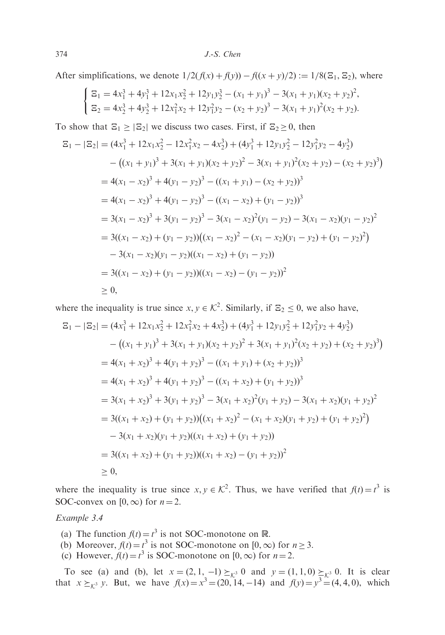After simplifications, we denote  $1/2(f(x) + f(y)) - f((x + y)/2) := 1/8(\Xi_1, \Xi_2)$ , where

$$
\begin{cases}\n\Xi_1 = 4x_1^3 + 4y_1^3 + 12x_1x_2^2 + 12y_1y_2^3 - (x_1 + y_1)^3 - 3(x_1 + y_1)(x_2 + y_2)^2, \\
\Xi_2 = 4x_2^3 + 4y_2^3 + 12x_1^2x_2 + 12y_1^2y_2 - (x_2 + y_2)^3 - 3(x_1 + y_1)^2(x_2 + y_2).\n\end{cases}
$$

To show that  $\mathbb{E}_1 \geq |\mathbb{E}_2|$  we discuss two cases. First, if  $\mathbb{E}_2 \geq 0$ , then

$$
\mathbb{E}_{1} - |\mathbb{E}_{2}| = (4x_{1}^{3} + 12x_{1}x_{2}^{2} - 12x_{1}^{2}x_{2} - 4x_{2}^{3}) + (4y_{1}^{3} + 12y_{1}y_{2}^{2} - 12y_{1}^{2}y_{2} - 4y_{2}^{3})
$$
  
\n
$$
- ((x_{1} + y_{1})^{3} + 3(x_{1} + y_{1})(x_{2} + y_{2})^{2} - 3(x_{1} + y_{1})^{2}(x_{2} + y_{2}) - (x_{2} + y_{2})^{3})
$$
  
\n
$$
= 4(x_{1} - x_{2})^{3} + 4(y_{1} - y_{2})^{3} - ((x_{1} + y_{1}) - (x_{2} + y_{2}))^{3}
$$
  
\n
$$
= 4(x_{1} - x_{2})^{3} + 4(y_{1} - y_{2})^{3} - ((x_{1} - x_{2}) + (y_{1} - y_{2}))^{3}
$$
  
\n
$$
= 3(x_{1} - x_{2})^{3} + 3(y_{1} - y_{2})^{3} - 3(x_{1} - x_{2})^{2}(y_{1} - y_{2}) - 3(x_{1} - x_{2})(y_{1} - y_{2})^{2}
$$
  
\n
$$
= 3((x_{1} - x_{2}) + (y_{1} - y_{2}))((x_{1} - x_{2})^{2} - (x_{1} - x_{2})(y_{1} - y_{2}) + (y_{1} - y_{2})^{2})
$$
  
\n
$$
- 3(x_{1} - x_{2})(y_{1} - y_{2})((x_{1} - x_{2}) + (y_{1} - y_{2}))
$$
  
\n
$$
= 3((x_{1} - x_{2}) + (y_{1} - y_{2}))((x_{1} - x_{2}) - (y_{1} - y_{2}))^{2}
$$
  
\n
$$
\geq 0,
$$

where the inequality is true since  $x, y \in \mathcal{K}^2$ . Similarly, if  $\Xi_2 \leq 0$ , we also have,

$$
\mathbb{E}_{1} - |\mathbb{E}_{2}| = (4x_{1}^{3} + 12x_{1}x_{2}^{2} + 12x_{1}^{2}x_{2} + 4x_{2}^{3}) + (4y_{1}^{3} + 12y_{1}y_{2}^{2} + 12y_{1}^{2}y_{2} + 4y_{2}^{3})
$$
  
\n
$$
- ((x_{1} + y_{1})^{3} + 3(x_{1} + y_{1})(x_{2} + y_{2})^{2} + 3(x_{1} + y_{1})^{2}(x_{2} + y_{2}) + (x_{2} + y_{2})^{3})
$$
  
\n
$$
= 4(x_{1} + x_{2})^{3} + 4(y_{1} + y_{2})^{3} - ((x_{1} + y_{1}) + (x_{2} + y_{2}))^{3}
$$
  
\n
$$
= 4(x_{1} + x_{2})^{3} + 4(y_{1} + y_{2})^{3} - ((x_{1} + x_{2}) + (y_{1} + y_{2}))^{3}
$$
  
\n
$$
= 3(x_{1} + x_{2})^{3} + 3(y_{1} + y_{2})^{3} - 3(x_{1} + x_{2})^{2}(y_{1} + y_{2}) - 3(x_{1} + x_{2})(y_{1} + y_{2})^{2}
$$
  
\n
$$
= 3((x_{1} + x_{2}) + (y_{1} + y_{2}))((x_{1} + x_{2})^{2} - (x_{1} + x_{2})(y_{1} + y_{2}) + (y_{1} + y_{2})^{2})
$$
  
\n
$$
- 3(x_{1} + x_{2})(y_{1} + y_{2})((x_{1} + x_{2}) + (y_{1} + y_{2}))
$$
  
\n
$$
= 3((x_{1} + x_{2}) + (y_{1} + y_{2}))((x_{1} + x_{2}) - (y_{1} + y_{2}))^{2}
$$
  
\n
$$
\geq 0,
$$

where the inequality is true since  $x, y \in \mathcal{K}^2$ . Thus, we have verified that  $f(t) = t^3$  is SOC-convex on  $[0,\infty)$  for  $n = 2$ .

# Example 3.4

- (a) The function  $f(t) = t^3$  is not SOC-monotone on R.
- (b) Moreover,  $f(t) = t^3$  is not SOC-monotone on  $[0, \infty)$  for  $n \ge 3$ .
- (c) However,  $f(t) = t^3$  is SOC-monotone on [0,  $\infty$ ) for  $n = 2$ .

To see (a) and (b), let  $x = (2, 1, -1) \geq_{\mathcal{K}^3} 0$  and  $y = (1, 1, 0) \geq_{\mathcal{K}^3} 0$ . It is clear that  $x \succeq_{\mathcal{K}^3} y$ . But, we have  $f(x) = x^3 = (20, 14, -14)$  and  $f(y) = y^3 = (4, 4, 0)$ , which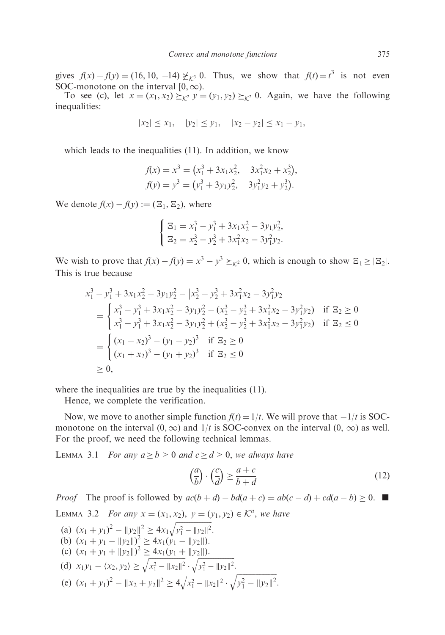gives  $f(x) - f(y) = (16, 10, -14) \not\geq_{\mathcal{K}^3} 0$ . Thus, we show that  $f(t) = t^3$  is not even SOC-monotone on the interval  $[0,\infty)$ .

To see (c), let  $x = (x_1, x_2) \succeq_{k^2} y = (y_1, y_2) \succeq_{k^2} 0$ . Again, we have the following inequalities:

$$
|x_2| \le x_1
$$
,  $|y_2| \le y_1$ ,  $|x_2 - y_2| \le x_1 - y_1$ ,

which leads to the inequalities (11). In addition, we know

$$
f(x) = x3 = (x13 + 3x1x22, 3x12x2 + x23),
$$
  
\n
$$
f(y) = y3 = (y13 + 3y1y22, 3y12y2 + y23).
$$

We denote  $f(x) - f(y) := (\Xi_1, \Xi_2)$ , where

$$
\begin{cases}\n\Xi_1 = x_1^3 - y_1^3 + 3x_1x_2^2 - 3y_1y_2^2, \\
\Xi_2 = x_2^3 - y_2^3 + 3x_1^2x_2 - 3y_1^2y_2.\n\end{cases}
$$

We wish to prove that  $f(x) - f(y) = x^3 - y^3 \geq_{\mathcal{K}^2} 0$ , which is enough to show  $\mathbb{E}_1 \geq |\mathbb{E}_2|$ . This is true because

$$
x_1^3 - y_1^3 + 3x_1x_2^2 - 3y_1y_2^2 - |x_2^3 - y_2^3 + 3x_1^2x_2 - 3y_1^2y_2|
$$
  
= 
$$
\begin{cases} x_1^3 - y_1^3 + 3x_1x_2^2 - 3y_1y_2^2 - (x_2^3 - y_2^3 + 3x_1^2x_2 - 3y_1^2y_2) & \text{if } \Xi_2 \ge 0\\ x_1^3 - y_1^3 + 3x_1x_2^2 - 3y_1y_2^2 + (x_2^3 - y_2^3 + 3x_1^2x_2 - 3y_1^2y_2) & \text{if } \Xi_2 \le 0 \end{cases}
$$
  
= 
$$
\begin{cases} (x_1 - x_2)^3 - (y_1 - y_2)^3 & \text{if } \Xi_2 \ge 0\\ (x_1 + x_2)^3 - (y_1 + y_2)^3 & \text{if } \Xi_2 \le 0 \end{cases}
$$
  
 $\ge 0,$ 

where the inequalities are true by the inequalities (11).

Hence, we complete the verification.

Now, we move to another simple function  $f(t) = 1/t$ . We will prove that  $-1/t$  is SOCmonotone on the interval  $(0,\infty)$  and  $1/t$  is SOC-convex on the interval  $(0,\infty)$  as well. For the proof, we need the following technical lemmas.

LEMMA 3.1 For any  $a \ge b > 0$  and  $c \ge d > 0$ , we always have

$$
\left(\frac{a}{b}\right) \cdot \left(\frac{c}{d}\right) \ge \frac{a+c}{b+d} \tag{12}
$$

*Proof* The proof is followed by  $ac(b + d) - bd(a + c) = ab(c - d) + cd(a - b) \ge 0$ . LEMMA 3.2 For any  $x = (x_1, x_2), y = (y_1, y_2) \in \mathcal{K}^n$ , we have (a)  $(x_1 + y_1)^2 - ||y_2||^2 \ge 4x_1 \sqrt{y_1^2 - ||y_2||^2}$ 

(a) 
$$
(x_1 + y_1)^2 - ||y_2||^2 \ge 4x_1\sqrt{y_1^2 - ||y_2||^2}
$$
.  
\n(b)  $(x_1 + y_1 - ||y_2||)^2 \ge 4x_1(y_1 - ||y_2||)$ .  
\n(c)  $(x_1 + y_1 + ||y_2||)^2 \ge 4x_1(y_1 + ||y_2||)$ .  
\n(d)  $x_1y_1 - \langle x_2, y_2 \rangle \ge \sqrt{x_1^2 - ||x_2||^2} \cdot \sqrt{y_1^2 - ||y_2||^2}$ .  
\n(e)  $(x_1 + y_1)^2 - ||x_2 + y_2||^2 \ge 4\sqrt{x_1^2 - ||x_2||^2} \cdot \sqrt{y_1^2 - ||y_2||^2}$ .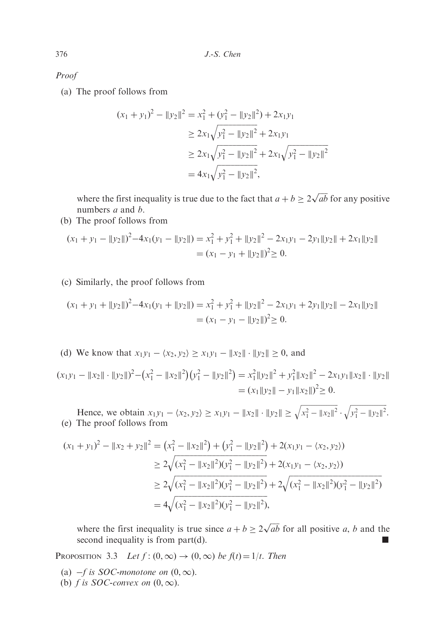Proof

(a) The proof follows from

$$
(x_1 + y_1)^2 - ||y_2||^2 = x_1^2 + (y_1^2 - ||y_2||^2) + 2x_1y_1
$$
  
\n
$$
\ge 2x_1\sqrt{y_1^2 - ||y_2||^2} + 2x_1y_1
$$
  
\n
$$
\ge 2x_1\sqrt{y_1^2 - ||y_2||^2} + 2x_1\sqrt{y_1^2 - ||y_2||^2}
$$
  
\n
$$
= 4x_1\sqrt{y_1^2 - ||y_2||^2},
$$

where the first inequality is true due to the fact that  $a + b \ge 2\sqrt{ab}$  for any positive numbers *a* and *b*.

(b) The proof follows from

$$
(x_1 + y_1 - ||y_2||)^2 - 4x_1(y_1 - ||y_2||) = x_1^2 + y_1^2 + ||y_2||^2 - 2x_1y_1 - 2y_1||y_2|| + 2x_1||y_2||
$$
  
= 
$$
(x_1 - y_1 + ||y_2||)^2 \ge 0.
$$

(c) Similarly, the proof follows from

$$
(x_1 + y_1 + ||y_2||)^2 - 4x_1(y_1 + ||y_2||) = x_1^2 + y_1^2 + ||y_2||^2 - 2x_1y_1 + 2y_1||y_2|| - 2x_1||y_2||
$$
  
= 
$$
(x_1 - y_1 - ||y_2||)^2 \ge 0.
$$

(d) We know that  $x_1y_1 - \langle x_2, y_2 \rangle \ge x_1y_1 - ||x_2|| \cdot ||y_2|| \ge 0$ , and

 $(x_1y_1 - ||x_2|| \cdot ||y_2||)^2 - (x_1^2 - ||x_2||^2)(y_1^2 - ||y_2||^2) = x_1^2 ||y_2||^2 + y_1^2 ||x_2||^2 - 2x_1y_1 ||x_2|| \cdot ||y_2||$  $=(x_1||y_2|| - y_1||x_2||)^2 \ge 0.$ 

Hence, we obtain  $x_1y_1 - \langle x_2, y_2 \rangle \ge x_1y_1 - ||x_2|| \cdot ||y_2|| \ge \sqrt{x_1^2 - ||x_2||^2} \cdot \sqrt{y_1^2 - ||y_2||^2}$ . (e) The proof follows from

$$
(x_1 + y_1)^2 - ||x_2 + y_2||^2 = (x_1^2 - ||x_2||^2) + (y_1^2 - ||y_2||^2) + 2(x_1y_1 - \langle x_2, y_2 \rangle)
$$
  
\n
$$
\ge 2\sqrt{(x_1^2 - ||x_2||^2)(y_1^2 - ||y_2||^2)} + 2(x_1y_1 - \langle x_2, y_2 \rangle)
$$
  
\n
$$
\ge 2\sqrt{(x_1^2 - ||x_2||^2)(y_1^2 - ||y_2||^2)} + 2\sqrt{(x_1^2 - ||x_2||^2)(y_1^2 - ||y_2||^2)}
$$
  
\n
$$
= 4\sqrt{(x_1^2 - ||x_2||^2)(y_1^2 - ||y_2||^2)},
$$

where the first inequality is true since  $a + b \ge 2\sqrt{ab}$  for all positive a, b and the second inequality is from  $part(d)$ .

PROPOSITION 3.3 Let  $f$ :  $(0,\infty) \rightarrow (0,\infty)$  be  $f(t) = 1/t$ . Then

- (a)  $-f$  is SOC-monotone on  $(0,\infty)$ .
- (b) f is SOC-convex on  $(0, \infty)$ .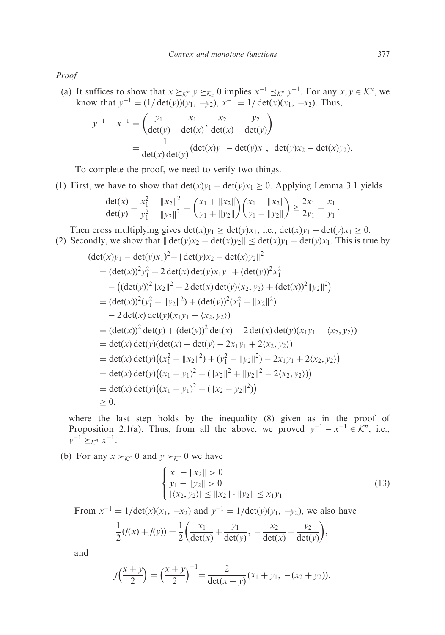Proof

(a) It suffices to show that  $x \succeq_{\mathcal{K}^n} y \succeq_{\mathcal{K}_n} 0$  implies  $x^{-1} \preceq_{\mathcal{K}^n} y^{-1}$ . For any  $x, y \in \mathcal{K}^n$ , we know that  $y^{-1} = (1/\det(y))(y_1, -y_2), x^{-1} = 1/\det(x)(x_1, -x_2)$ . Thus,

$$
y^{-1} - x^{-1} = \left(\frac{y_1}{\det(y)} - \frac{x_1}{\det(x)}, \frac{x_2}{\det(x)} - \frac{y_2}{\det(y)}\right)
$$
  
= 
$$
\frac{1}{\det(x)\det(y)} (\det(x)y_1 - \det(y)x_1, \ \det(y)x_2 - \det(x)y_2).
$$

To complete the proof, we need to verify two things.

(1) First, we have to show that  $det(x)y_1 - det(y)x_1 \ge 0$ . Applying Lemma 3.1 yields

$$
\frac{\det(x)}{\det(y)} = \frac{x_1^2 - \|x_2\|^2}{y_1^2 - \|y_2\|^2} = \left(\frac{x_1 + \|x_2\|}{y_1 + \|y_2\|}\right) \left(\frac{x_1 - \|x_2\|}{y_1 - \|y_2\|}\right) \ge \frac{2x_1}{2y_1} = \frac{x_1}{y_1}.
$$

Then cross multiplying gives  $\det(x)y_1 \geq \det(y)x_1$ , i.e.,  $\det(x)y_1 - \det(y)x_1 \geq 0$ . (2) Secondly, we show that  $\|\det(y)x_2 - \det(x)y_2\| \le \det(x)y_1 - \det(y)x_1$ . This is true by

$$
(\det(x)y_1 - \det(y)x_1)^2 - ||\det(y)x_2 - \det(x)y_2||^2
$$
  
\n
$$
= (\det(x))^2 y_1^2 - 2 \det(x) \det(y)x_1y_1 + (\det(y))^2 x_1^2
$$
  
\n
$$
- ((\det(y))^2 ||x_2||^2 - 2 \det(x) \det(y)(x_2, y_2) + (\det(x))^2 ||y_2||^2)
$$
  
\n
$$
= (\det(x))^2 (y_1^2 - ||y_2||^2) + (\det(y))^2 (x_1^2 - ||x_2||^2)
$$
  
\n
$$
- 2 \det(x) \det(y)(x_1y_1 - \langle x_2, y_2 \rangle)
$$
  
\n
$$
= (\det(x))^2 \det(y) + (\det(y))^2 \det(x) - 2 \det(x) \det(y)(x_1y_1 - \langle x_2, y_2 \rangle)
$$
  
\n
$$
= \det(x) \det(y) (\det(x) + \det(y) - 2x_1y_1 + 2\langle x_2, y_2 \rangle)
$$
  
\n
$$
= \det(x) \det(y) ((x_1^2 - ||x_2||^2) + (y_1^2 - ||y_2||^2) - 2x_1y_1 + 2\langle x_2, y_2 \rangle)
$$
  
\n
$$
= \det(x) \det(y) ((x_1 - y_1)^2 - (||x_2||^2 + ||y_2||^2 - 2\langle x_2, y_2 \rangle))
$$
  
\n
$$
= \det(x) \det(y) ((x_1 - y_1)^2 - (||x_2 - y_2||^2))
$$
  
\n
$$
\ge 0,
$$

where the last step holds by the inequality (8) given as in the proof of Proposition 2.1(a). Thus, from all the above, we proved  $y^{-1} - x^{-1} \in \mathcal{K}^n$ , i.e.,  $y^{-1} \succeq_{\mathcal{K}^n} x^{-1}.$ 

(b) For any  $x \succ_{\mathcal{K}^n} 0$  and  $y \succ_{\mathcal{K}^n} 0$  we have

$$
\begin{cases}\nx_1 - \|x_2\| > 0 \\
y_1 - \|y_2\| > 0 \\
|\langle x_2, y_2 \rangle| \le \|x_2\| \cdot \|y_2\| \le x_1 y_1\n\end{cases} \tag{13}
$$

From  $x^{-1} = 1/\text{det}(x)(x_1, -x_2)$  and  $y^{-1} = 1/\text{det}(y)(y_1, -y_2)$ , we also have

$$
\frac{1}{2}(f(x) + f(y)) = \frac{1}{2}\left(\frac{x_1}{\det(x)} + \frac{y_1}{\det(y)}, -\frac{x_2}{\det(x)} - \frac{y_2}{\det(y)}\right),\,
$$

and

$$
f\left(\frac{x+y}{2}\right) = \left(\frac{x+y}{2}\right)^{-1} = \frac{2}{\det(x+y)}(x_1+y_1, -(x_2+y_2)).
$$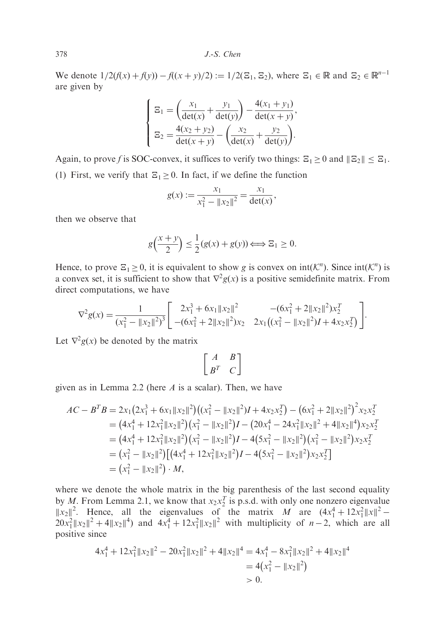378 J.-S. Chen

We denote  $1/2(f(x) + f(y)) - f((x+y)/2) := 1/2(\mathbb{E}_1, \mathbb{E}_2)$ , where  $\mathbb{E}_1 \in \mathbb{R}$  and  $\mathbb{E}_2 \in \mathbb{R}^{n-1}$ are given by

$$
\begin{cases}\n\Xi_1 = \left(\frac{x_1}{\det(x)} + \frac{y_1}{\det(y)}\right) - \frac{4(x_1 + y_1)}{\det(x + y)},\\ \n\Xi_2 = \frac{4(x_2 + y_2)}{\det(x + y)} - \left(\frac{x_2}{\det(x)} + \frac{y_2}{\det(y)}\right).\n\end{cases}
$$

Again, to prove f is SOC-convex, it suffices to verify two things:  $\mathbb{E}_1 \ge 0$  and  $||\mathbb{E}_2|| \le \mathbb{E}_1$ . (1) First, we verify that  $\Xi_1 > 0$ . In fact, if we define the function

$$
g(x) := \frac{x_1}{x_1^2 - \|x_2\|^2} = \frac{x_1}{\det(x)},
$$

then we observe that

$$
g\left(\frac{x+y}{2}\right) \le \frac{1}{2}(g(x) + g(y)) \Longleftrightarrow \Xi_1 \ge 0.
$$

Hence, to prove  $\mathbb{E}_1 \geq 0$ , it is equivalent to show g is convex on  $int(\mathcal{K}^n)$ . Since  $int(\mathcal{K}^n)$  is a convex set, it is sufficient to show that  $\nabla^2 g(x)$  is a positive semidefinite matrix. From direct computations, we have

$$
\nabla^2 g(x) = \frac{1}{(x_1^2 - ||x_2||^2)^3} \left[ \begin{array}{cc} 2x_1^3 + 6x_1 ||x_2||^2 & -(6x_1^2 + 2||x_2||^2)x_2^T \\ -(6x_1^2 + 2||x_2||^2)x_2 & 2x_1((x_1^2 - ||x_2||^2)I + 4x_2x_2^T) \end{array} \right].
$$

Let  $\nabla^2 g(x)$  be denoted by the matrix

$$
\left[\begin{array}{cc}A&B\\B^T&C\end{array}\right]
$$

given as in Lemma 2.2 (here  $A$  is a scalar). Then, we have

$$
AC - BTB = 2x1(2x13 + 6x1 ||x2||2)((x12 - ||x2||2)I + 4x2x2T) – (6x12 + 2||x2||2)2x2x2T= (4x14 + 12x12 ||x2||2) (x12 - ||x2||2)I – (20x14 - 24x12 ||x2||2 + 4||x2||4)x2x2T= (4x14 + 12x12 ||x2||2) (x12 - ||x2||2)I – 4(5x12 - ||x2||2) (x12 - ||x2||2)x2x2T= (x12 - ||x2||2) [(4x14 + 12x12 ||x2||2)I – 4(5x12 - ||x2||2)x2x2T]= (x12 - ||x2||2) · M,
$$

where we denote the whole matrix in the big parenthesis of the last second equality by M. From Lemma 2.1, we know that  $x_2x_2^T$  is p.s.d. with only one nonzero eigenvalue  $\|x_2\|^2$ . Hence, all the eigenvalues of the matrix M are  $(4x_1^4 + 12x_1^2 \|x\|^2 - 20x_1^2 \|x_2\|^2 + 4\|x_2\|^4)$  and  $4x_1^4 + 12x_1^2 \|x_2\|^2$  with multiplicity of  $n-2$ , which are all positive since

$$
4x_1^4 + 12x_1^2 \|x_2\|^2 - 20x_1^2 \|x_2\|^2 + 4\|x_2\|^4 = 4x_1^4 - 8x_1^2 \|x_2\|^2 + 4\|x_2\|^4
$$
  
= 4(x\_1^2 - \|x\_2\|^2)  
> 0.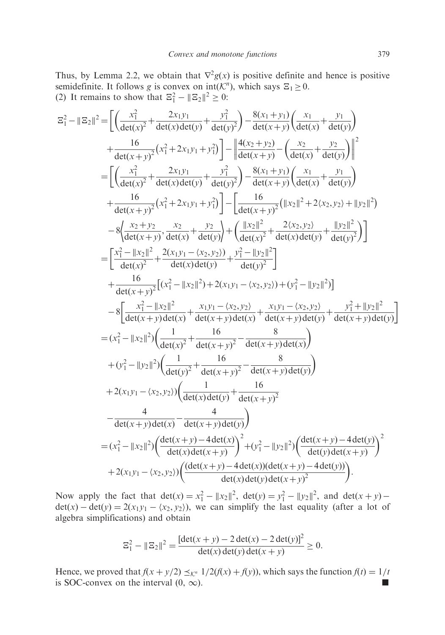Thus, by Lemma 2.2, we obtain that  $\nabla^2 g(x)$  is positive definite and hence is positive semidefinite. It follows g is convex on  $int(K^n)$ , which says  $\Xi_1 \geq 0$ . (2) It remains to show that  $\mathbb{E}_1^2 - ||\mathbb{E}_2||^2 \ge 0$ :

$$
|\mathfrak{Z}_{1}^{2}-||\mathfrak{Z}_{2}||^{2} = \left[\left(\frac{x_{1}^{2}}{det(x)^{2}}+\frac{2x_{1}y_{1}}{det(x)det(y)}+\frac{y_{1}^{2}}{det(x+y)}\right)-\frac{8(x_{1}+y_{1})}{det(x+y)}\left(\frac{x_{1}}{det(x)}+\frac{y_{1}}{det(y)}\right)\right] +\frac{16}{det(x+y)^{2}}(x_{1}^{2}+2x_{1}y_{1}+y_{1}^{2})\left[-\left|\frac{4(x_{2}+y_{2})}{det(x+y)}-\left(\frac{x_{2}}{det(x)}+\frac{y_{2}}{det(y)}\right)\right|\right]^{2}
$$
\n
$$
=\left[\left(\frac{x_{1}^{2}}{det(x)^{2}}+\frac{2x_{1}y_{1}}{det(x)det(y)}+\frac{y_{1}^{2}}{det(y)^{2}}\right)-\frac{8(x_{1}+y_{1})}{det(x+y)}\left(\frac{x_{1}}{det(x)}+\frac{y_{1}}{det(y)}\right)\right] -\frac{16}{det(x+y)}\left(\frac{x_{1}}{det(x+y)}\right)\left(\frac{x_{1}}{det(x)}+\frac{y_{1}}{det(y)}\right)
$$
\n
$$
+\frac{16}{det(x+y)^{2}}(x_{1}^{2}+2x_{1}y_{1}+y_{1}^{2})\right]-\left[\frac{16}{det(x+y)^{2}}\left(\frac{x_{1}}{det(x)}\right)+2(x_{2},y_{2})+\left|\frac{y_{2}}{det(y)}\right|^{2}\right)
$$
\n
$$
-\left[8\left|\frac{x_{2}^{2}+y_{2}}{det(x)^{2}}+\frac{x_{2}}{det(x)}\right|+\left|\frac{1}{det(y)^{2}}\right|+\left|\frac{1}{det(x)^{2}}\right|^{2}+2(x_{2},y_{2})+\left|\frac{y_{1}}{det(y)^{2}}\right|\right]
$$
\n
$$
=\left[\frac{x_{1}^{2}-||x_{2}||^{2}}{det(x+y)^{2}}+\frac{2(x_{1}y_{1}-\langle x_{2},y_{2}\rangle)}{det(x)+y}\right]+\frac{y_{1}^{2}-||y_{2}||^{2}}{det(x+y)\left(\frac{1}{det(x+y)}\right)}\right]
$$
\n
$$
-\left[8\left|\frac{x_{1}^{2}-||x_{2}||^{2}}
$$

Now apply the fact that  $\det(x) = x_1^2 - ||x_2||^2$ ,  $\det(y) = y_1^2 - ||y_2||^2$ , and  $\det(x + y)$  $\det(x) - \det(y) = 2(x_1y_1 - \langle x_2, y_2 \rangle)$ , we can simplify the last equality (after a lot of algebra simplifications) and obtain

$$
\mathbb{E}_1^2 - \|\mathbb{E}_2\|^2 = \frac{[\det(x+y) - 2\det(x) - 2\det(y)]^2}{\det(x)\det(y)\det(x+y)} \ge 0.
$$

Hence, we proved that  $f(x + y/2) \leq_K n 1/2(f(x) + f(y))$ , which says the function  $f(t) = 1/t$ is SOC-convex on the interval  $(0, \infty)$ .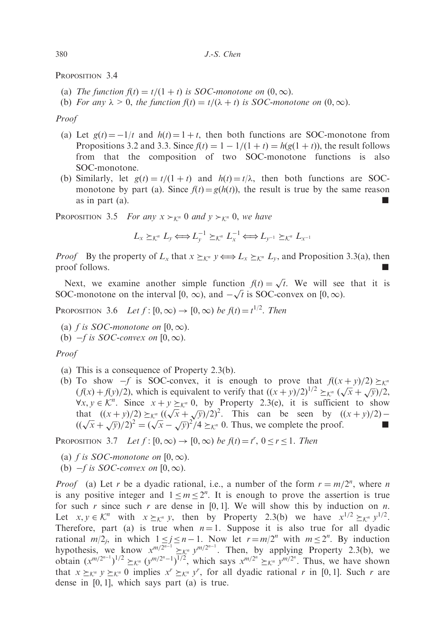PROPOSITION 3.4

- (a) The function  $f(t) = t/(1 + t)$  is SOC-monotone on  $(0, \infty)$ .
- (b) For any  $\lambda > 0$ , the function  $f(t) = t/(\lambda + t)$  is SOC-monotone on  $(0, \infty)$ .

### Proof

- (a) Let  $g(t) = -1/t$  and  $h(t) = 1 + t$ , then both functions are SOC-monotone from Propositions 3.2 and 3.3. Since  $f(t) = 1 - 1/(1 + t) = h(g(1 + t))$ , the result follows from that the composition of two SOC-monotone functions is also SOC-monotone.
- (b) Similarly, let  $g(t) = t/(1 + t)$  and  $h(t) = t/\lambda$ , then both functions are SOCmonotone by part (a). Since  $f(t) = g(h(t))$ , the result is true by the same reason as in part  $(a)$ .

PROPOSITION 3.5 For any  $x \succ_{\mathcal{K}^n} 0$  and  $y \succ_{\mathcal{K}^n} 0$ , we have

$$
L_x \succeq_{\mathcal{K}^n} L_y \Longleftrightarrow L_y^{-1} \succeq_{\mathcal{K}^n} L_x^{-1} \Longleftrightarrow L_{y^{-1}} \succeq_{\mathcal{K}^n} L_{x^{-1}}
$$

*Proof* By the property of  $L_x$  that  $x \succeq_{\mathcal{K}^n} y \Leftrightarrow L_x \succeq_{\mathcal{K}^n} L_y$ , and Proposition 3.3(a), then proof follows.

Next, we examine another simple function  $f(t) = \sqrt{t}$ . We will see that it is Next, we examine another simple function  $f(t) = \sqrt{t}$ . We will see<br>SOC-monotone on the interval  $[0, \infty)$ , and  $-\sqrt{t}$  is SOC-convex on  $[0, \infty)$ .

PROPOSITION 3.6 Let  $f: [0, \infty) \to [0, \infty)$  be  $f(t) = t^{1/2}$ . Then

- (a) f is SOC-monotone on [0,  $\infty$ ).
- (b)  $-f$  is SOC-convex on  $[0,\infty)$ .

Proof

- (a) This is a consequence of Property 2.3(b).
- (b) To show  $-f$  is SOC-convex, it is enough to prove that  $f((x+y)/2) \geq_K n$ (f(x) + f(y)/2), which is equivalent to verify that  $((x + y)/2)^{1/2} \geq x^n (\sqrt{x} + \sqrt{y})/2$ ,  $\forall x, y \in \mathcal{K}^n$ . Since  $x + y \succeq_{\mathcal{K}^n} 0$ , by Property 2.3(e), it is sufficient to show vx,  $y \in \mathcal{R}$ . Since  $x + y \leq k^n$  o, by Troperty 2.5(e), it is summerted show<br>that  $((x + y)/2) \geq k^n ((\sqrt{x} + \sqrt{y})/2)^2$ . This can be seen by  $((x + y)/2) -$ <br> $((\sqrt{x} + \sqrt{y})/2)^2 = (\sqrt{x} - \sqrt{y})^2/4 \geq k^n$  0. Thus, we complete the proof.

PROPOSITION 3.7 Let  $f: [0, \infty) \to [0, \infty)$  be  $f(t) = t^r$ ,  $0 \le r \le 1$ . Then

- (a) f is SOC-monotone on  $[0, \infty)$ .
- (b)  $-f$  is SOC-convex on  $[0,\infty)$ .

*Proof* (a) Let r be a dyadic rational, i.e., a number of the form  $r = m/2^n$ , where n is any positive integer and  $1 \le m \le 2^n$ . It is enough to prove the assertion is true for such r since such r are dense in  $[0, 1]$ . We will show this by induction on n. Let  $x, y \in \mathcal{K}^n$  with  $x \succeq_{\mathcal{K}^n} y$ , then by Property 2.3(b) we have  $x^{1/2} \succeq_{\mathcal{K}^n} y^{1/2}$ . Therefore, part (a) is true when  $n = 1$ . Suppose it is also true for all dyadic rational  $m/2_j$ , in which  $1 \le j \le n - 1$ . Now let  $r = m/2^n$  with  $m \le 2^n$ . By induction hypothesis, we know  $x^{m/2^{n-1}} \geq x^{n} y^{m/2^{n-1}}$ . Then, by applying Property 2.3(b), we obtain  $(x^{m/2^{n-1}})^{1/2} \geq x^{n} (y^{m/2^{n}-1})^{1/2}$ , which says  $x^{m/2^{n}} \geq x^{n} y^{m/2^{n}}$ . Thus, we have shown that  $x \succeq_{\mathcal{K}^n} y \succeq_{\mathcal{K}^n} 0$  implies  $x^r \succeq_{\mathcal{K}^n} y^r$ , for all dyadic rational r in [0, 1]. Such r are dense in [0, 1], which says part (a) is true.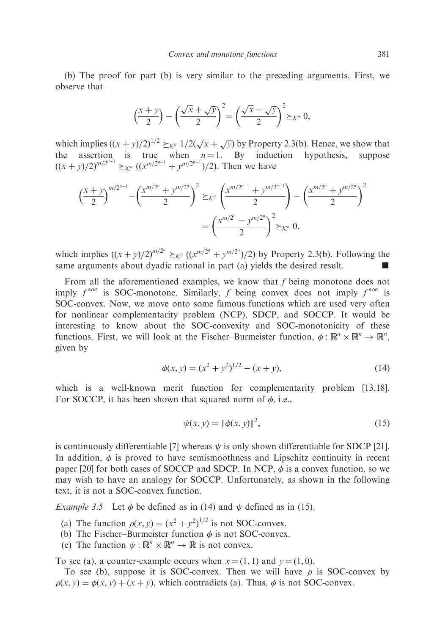(b) The proof for part (b) is very similar to the preceding arguments. First, we observe that

$$
\left(\frac{x+y}{2}\right) - \left(\frac{\sqrt{x} + \sqrt{y}}{2}\right)^2 = \left(\frac{\sqrt{x} - \sqrt{y}}{2}\right)^2 \succeq_{\mathcal{K}^n} 0,
$$

which implies  $((x+y)/2)^{1/2} \geq_{\mathcal{K}^n} 1/2(\sqrt{x} + \sqrt{y})$  by Property 2.3(b). Hence, we show that the assertion is true when  $n = 1$ . By induction hypothesis, suppose  $((x+y)/2)^{m/2^{n-1}} \geq_{\mathcal{K}^n} ((x^{m/2^{n-1}}+y^{m/2^{n-1}})/2)$ . Then we have

$$
\left(\frac{x+y}{2}\right)^{m/2^{n-1}} - \left(\frac{x^{m/2^n} + y^{m/2^n}}{2}\right)^2 \geq_{\mathcal{K}^n} \left(\frac{x^{m/2^{n-1}} + y^{m/2^{n-1}}}{2}\right) - \left(\frac{x^{m/2^n} + y^{m/2^n}}{2}\right)^2
$$

$$
= \left(\frac{x^{m/2^n} - y^{m/2^n}}{2}\right)^2 \geq_{\mathcal{K}^n} 0,
$$

which implies  $((x+y)/2)^{m/2^n} \geq_{\mathcal{K}^n} ((x^{m/2^n}+y^{m/2^n})/2)$  by Property 2.3(b). Following the same arguments about dyadic rational in part (a) yields the desired result.

From all the aforementioned examples, we know that f being monotone does not imply  $f^{\text{soc}}$  is SOC-monotone. Similarly, f being convex does not imply  $f^{\text{soc}}$  is SOC-convex. Now, we move onto some famous functions which are used very often for nonlinear complementarity problem (NCP), SDCP, and SOCCP. It would be interesting to know about the SOC-convexity and SOC-monotonicity of these functions. First, we will look at the Fischer-Burmeister function,  $\phi : \mathbb{R}^n \times \mathbb{R}^n \to \mathbb{R}^n$ , given by

$$
\phi(x, y) = (x^2 + y^2)^{1/2} - (x + y),\tag{14}
$$

which is a well-known merit function for complementarity problem [13,18]. For SOCCP, it has been shown that squared norm of  $\phi$ , i.e.,

$$
\psi(x, y) = \|\phi(x, y)\|^2,\tag{15}
$$

is continuously differentiable [7] whereas  $\psi$  is only shown differentiable for SDCP [21]. In addition,  $\phi$  is proved to have semismoothness and Lipschitz continuity in recent paper [20] for both cases of SOCCP and SDCP. In NCP,  $\phi$  is a convex function, so we may wish to have an analogy for SOCCP. Unfortunately, as shown in the following text, it is not a SOC-convex function.

*Example 3.5* Let  $\phi$  be defined as in (14) and  $\psi$  defined as in (15).

(a) The function  $\rho(x, y) = (x^2 + y^2)^{1/2}$  is not SOC-convex.

(b) The Fischer–Burmeister function  $\phi$  is not SOC-convex.

(c) The function  $\psi : \mathbb{R}^n \times \mathbb{R}^n \to \mathbb{R}$  is not convex.

To see (a), a counter-example occurs when  $x = (1, 1)$  and  $y = (1, 0)$ .

To see (b), suppose it is SOC-convex. Then we will have  $\rho$  is SOC-convex by  $\rho(x, y) = \phi(x, y) + (x + y)$ , which contradicts (a). Thus,  $\phi$  is not SOC-convex.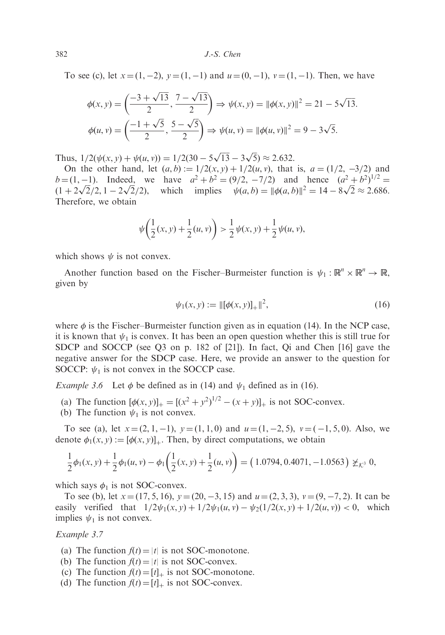To see (c), let  $x = (1, -2)$ ,  $y = (1, -1)$  and  $u = (0, -1)$ ,  $v = (1, -1)$ . Then, we have

$$
\phi(x, y) = \left(\frac{-3 + \sqrt{13}}{2}, \frac{7 - \sqrt{13}}{2}\right) \Rightarrow \psi(x, y) = ||\phi(x, y)||^2 = 21 - 5\sqrt{13}.
$$

$$
\phi(u, v) = \left(\frac{-1 + \sqrt{5}}{2}, \frac{5 - \sqrt{5}}{2}\right) \Rightarrow \psi(u, v) = ||\phi(u, v)||^2 = 9 - 3\sqrt{5}.
$$

Thus,  $1/2(\psi(x, y) + \psi(u, v)) = 1/2(30 - 5\sqrt{13} - 3\sqrt{5}) \approx 2.632$ .

On the other hand, let  $(a, b) := 1/2(x, y) + 1/2(u, v)$ , that is,  $a = (1/2, -3/2)$  and  $b = (1, -1)$ . Indeed, we have  $a^2 + b^2 = (9/2, -7/2)$  and hence  $(a^2 + b^2)^{1/2} =$  $b = (1, -1)$ . Indeed, we have  $a^2 + b^2 = (9/2, -7/2)$  and hence  $(a^2 + b^2)' = (1 + 2\sqrt{2}/2, 1 - 2\sqrt{2}/2)$ , which implies  $\psi(a, b) = ||\phi(a, b)||^2 = 14 - 8\sqrt{2} \approx 2.686$ . Therefore, we obtain

$$
\psi\bigg(\frac{1}{2}(x,y)+\frac{1}{2}(u,v)\bigg) > \frac{1}{2}\psi(x,y)+\frac{1}{2}\psi(u,v),
$$

which shows  $\psi$  is not convex.

Another function based on the Fischer–Burmeister function is  $\psi_1 : \mathbb{R}^n \times \mathbb{R}^n \to \mathbb{R}$ , given by

$$
\psi_1(x, y) := \|[\phi(x, y)]_+\|^2,\tag{16}
$$

where  $\phi$  is the Fischer–Burmeister function given as in equation (14). In the NCP case, it is known that  $\psi_1$  is convex. It has been an open question whether this is still true for SDCP and SOCCP (see Q3 on p. 182 of [21]). In fact, Qi and Chen [16] gave the negative answer for the SDCP case. Here, we provide an answer to the question for SOCCP:  $\psi_1$  is not convex in the SOCCP case.

*Example 3.6* Let  $\phi$  be defined as in (14) and  $\psi_1$  defined as in (16).

- (a) The function  $[\phi(x, y)]_+ = [(x^2 + y^2)^{1/2} (x + y)]_+$  is not SOC-convex.
- (b) The function  $\psi_1$  is not convex.

To see (a), let  $x = (2, 1, -1)$ ,  $y = (1, 1, 0)$  and  $u = (1, -2, 5)$ ,  $v = (-1, 5, 0)$ . Also, we denote  $\phi_1(x, y) := [\phi(x, y)]_+$ . Then, by direct computations, we obtain

$$
\frac{1}{2}\phi_1(x,y) + \frac{1}{2}\phi_1(u,v) - \phi_1\left(\frac{1}{2}(x,y) + \frac{1}{2}(u,v)\right) = (1.0794, 0.4071, -1.0563) \not\geq_{K^3} 0,
$$

which says  $\phi_1$  is not SOC-convex.

To see (b), let  $x = (17, 5, 16)$ ,  $y = (20, -3, 15)$  and  $u = (2, 3, 3)$ ,  $v = (9, -7, 2)$ . It can be easily verified that  $1/2 \psi_1(x, y) + 1/2 \psi_1(u, v) - \psi_2(1/2(x, y) + 1/2(u, v)) < 0$ , which implies  $\psi_1$  is not convex.

Example 3.7

- (a) The function  $f(t) = |t|$  is not SOC-monotone.
- (b) The function  $f(t) = |t|$  is not SOC-convex.
- (c) The function  $f(t) = [t]_+$  is not SOC-monotone.
- (d) The function  $f(t) = [t]_+$  is not SOC-convex.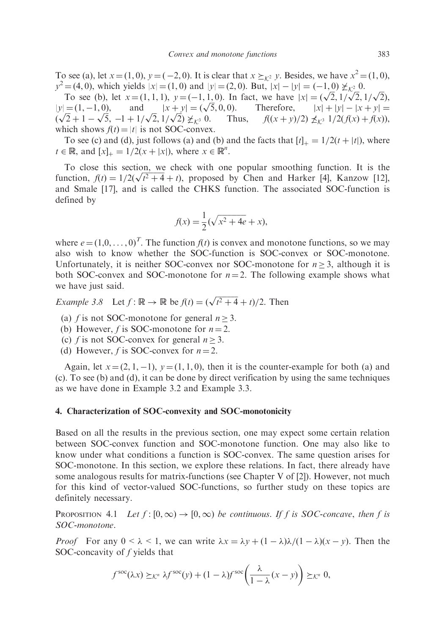To see (a), let  $x = (1, 0)$ ,  $y = (-2, 0)$ . It is clear that  $x \succeq_{\mathcal{K}^2} y$ . Besides, we have  $x^2 = (1, 0)$ ,  $y^2 = (4, 0)$ , which yields  $|x| = (1, 0)$  and  $|y| = (2, 0)$ . But,  $|x| - |y| = (-1, 0) \not\geq_{\mathcal{K}^2} 0$ .

=(4, 0), which yields  $|x| = (1, 0)$  and  $|y| = (2, 0)$ . But,  $|x| - |y| = (-1, 0) \not\ge_{K^2} 0$ .<br>To see (b), let  $x = (1, 1, 1)$ ,  $y = (-1, 1, 0)$ . In fact, we have  $|x| = (\sqrt{2}, 1/\sqrt{2}, 1/\sqrt{2})$ ,  $|y| = (1, -1, 0),$ and  $|x + y| = (\sqrt{5}, 0, 0).$ 5, 0, 0). Therefore,  $|x| = (\sqrt{2}, 1/\sqrt{2}, 1/\sqrt{2})$ ,<br> $\sqrt{5}$ , 0, 0). Therefore,  $|x| + |y| - |x + y| =$  $y = (1, -1, 0),$  and  $|x| + 1$ <br> $(\sqrt{2} + 1 - \sqrt{5}, -1 + 1/\sqrt{2}, 1/\sqrt{2})$ Thus,  $f((x+y)/2) \nleq k^{3} 1/2(f(x) + f(x)),$ which shows  $f(t) = |t|$  is not SOC-convex.

To see (c) and (d), just follows (a) and (b) and the facts that  $[t]_+ = 1/2(t + |t|)$ , where  $t \in \mathbb{R}$ , and  $[x]_+ = 1/2(x + |x|)$ , where  $x \in \mathbb{R}^n$ .

To close this section, we check with one popular smoothing function. It is the To close this section, we check with one popular smoothing function. It is the function,  $f(t) = 1/2(\sqrt{t^2 + 4} + t)$ , proposed by Chen and Harker [4], Kanzow [12], and Smale [17], and is called the CHKS function. The associated SOC-function is defined by

$$
f(x) = \frac{1}{2}(\sqrt{x^2 + 4e} + x),
$$

where  $e = (1,0,\ldots,0)^T$ . The function  $f(t)$  is convex and monotone functions, so we may also wish to know whether the SOC-function is SOC-convex or SOC-monotone. Unfortunately, it is neither SOC-convex nor SOC-monotone for  $n \geq 3$ , although it is both SOC-convex and SOC-monotone for  $n = 2$ . The following example shows what we have just said.

*Example 3.8* Let  $f: \mathbb{R} \to \mathbb{R}$  be  $f(t) = (\sqrt{t^2 + 4} + t)/2$ . Then

- (a) f is not SOC-monotone for general  $n > 3$ .
- (b) However, f is SOC-monotone for  $n = 2$ .
- (c) f is not SOC-convex for general  $n \geq 3$ .
- (d) However, f is SOC-convex for  $n = 2$ .

Again, let  $x = (2, 1, -1)$ ,  $y = (1, 1, 0)$ , then it is the counter-example for both (a) and (c). To see (b) and (d), it can be done by direct verification by using the same techniques as we have done in Example 3.2 and Example 3.3.

## 4. Characterization of SOC-convexity and SOC-monotonicity

Based on all the results in the previous section, one may expect some certain relation between SOC-convex function and SOC-monotone function. One may also like to know under what conditions a function is SOC-convex. The same question arises for SOC-monotone. In this section, we explore these relations. In fact, there already have some analogous results for matrix-functions (see Chapter V of [2]). However, not much for this kind of vector-valued SOC-functions, so further study on these topics are definitely necessary.

PROPOSITION 4.1 Let  $f : [0,\infty) \to [0,\infty)$  be continuous. If f is SOC-concave, then f is SOC-monotone.

*Proof* For any  $0 \le \lambda \le 1$ , we can write  $\lambda x = \lambda y + (1 - \lambda)\lambda/(1 - \lambda)(x - y)$ . Then the SOC-concavity of f yields that

$$
f^{\rm soc}(\lambda x) \succeq_{\mathcal{K}^n} \lambda f^{\rm soc}(y) + (1 - \lambda)f^{\rm soc}\left(\frac{\lambda}{1 - \lambda}(x - y)\right) \succeq_{\mathcal{K}^n} 0,
$$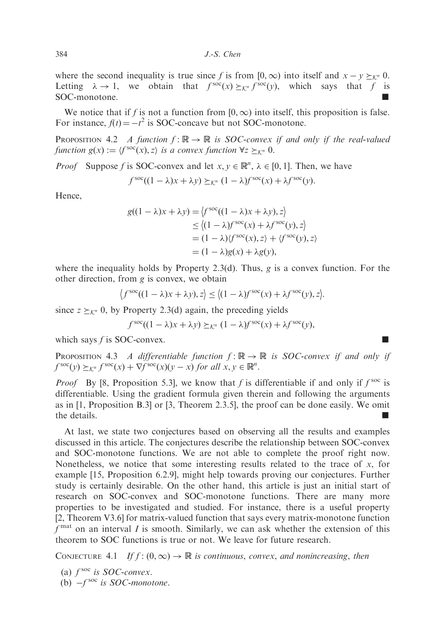where the second inequality is true since f is from  $[0, \infty)$  into itself and  $x - y \succeq_{\mathcal{K}^n} 0$ . Letting  $\lambda \to 1$ , we obtain that  $f^{\text{soc}}(x) \succeq_{\mathcal{K}^n} f^{\text{soc}}(y)$ , which says that f is SOC-monotone.

We notice that if f is not a function from  $[0,\infty)$  into itself, this proposition is false. For instance,  $f(t) = -t^2$  is SOC-concave but not SOC-monotone.

PROPOSITION 4.2 A function  $f: \mathbb{R} \to \mathbb{R}$  is SOC-convex if and only if the real-valued function  $g(x) := \langle f^{\rm soc}(x), z \rangle$  is a convex function  $\forall z \succ_{k^n} 0$ .

*Proof* Suppose f is SOC-convex and let  $x, y \in \mathbb{R}^n$ ,  $\lambda \in [0, 1]$ . Then, we have

$$
f^{\text{soc}}((1 - \lambda)x + \lambda y) \succeq_{\mathcal{K}^n} (1 - \lambda)f^{\text{soc}}(x) + \lambda f^{\text{soc}}(y).
$$

Hence,

$$
g((1 - \lambda)x + \lambda y) = \langle f^{\text{soc}}((1 - \lambda)x + \lambda y), z \rangle
$$
  
\n
$$
\leq \langle (1 - \lambda)f^{\text{soc}}(x) + \lambda f^{\text{soc}}(y), z \rangle
$$
  
\n
$$
= (1 - \lambda)\langle f^{\text{soc}}(x), z \rangle + \langle f^{\text{soc}}(y), z \rangle
$$
  
\n
$$
= (1 - \lambda)g(x) + \lambda g(y),
$$

where the inequality holds by Property 2.3(d). Thus, g is a convex function. For the other direction, from g is convex, we obtain

$$
\left\langle f^{\rm soc}((1-\lambda)x + \lambda y), z \right\rangle \le \left\langle (1-\lambda)f^{\rm soc}(x) + \lambda f^{\rm soc}(y), z \right\rangle.
$$

since  $z \succeq_{\mathcal{K}^n} 0$ , by Property 2.3(d) again, the preceding yields

$$
f^{\text{soc}}((1 - \lambda)x + \lambda y) \succeq_{\mathcal{K}^n} (1 - \lambda)f^{\text{soc}}(x) + \lambda f^{\text{soc}}(y),
$$

which says  $f$  is SOC-convex.

PROPOSITION 4.3 A differentiable function  $f : \mathbb{R} \to \mathbb{R}$  is SOC-convex if and only if  $f^{\text{soc}}(y) \succeq_{\mathcal{K}^n} f^{\text{soc}}(x) + \nabla f^{\text{soc}}(x)(y - x) \text{ for all } x, y \in \mathbb{R}^n.$ 

*Proof* By [8, Proposition 5.3], we know that f is differentiable if and only if  $f^{\text{soc}}$  is differentiable. Using the gradient formula given therein and following the arguments as in [1, Proposition B.3] or [3, Theorem 2.3.5], the proof can be done easily. We omit the details.

At last, we state two conjectures based on observing all the results and examples discussed in this article. The conjectures describe the relationship between SOC-convex and SOC-monotone functions. We are not able to complete the proof right now. Nonetheless, we notice that some interesting results related to the trace of  $x$ , for example [15, Proposition 6.2.9], might help towards proving our conjectures. Further study is certainly desirable. On the other hand, this article is just an initial start of research on SOC-convex and SOC-monotone functions. There are many more properties to be investigated and studied. For instance, there is a useful property [2, Theorem V3.6] for matrix-valued function that says every matrix-monotone function  $f<sup>mat</sup>$  on an interval I is smooth. Similarly, we can ask whether the extension of this theorem to SOC functions is true or not. We leave for future research.

CONJECTURE 4.1 If  $f : (0, \infty) \to \mathbb{R}$  is continuous, convex, and nonincreasing, then

- (a)  $f^{\text{soc}}$  is SOC-convex.
- (b)  $-f^{\text{soc}}$  is SOC-monotone.